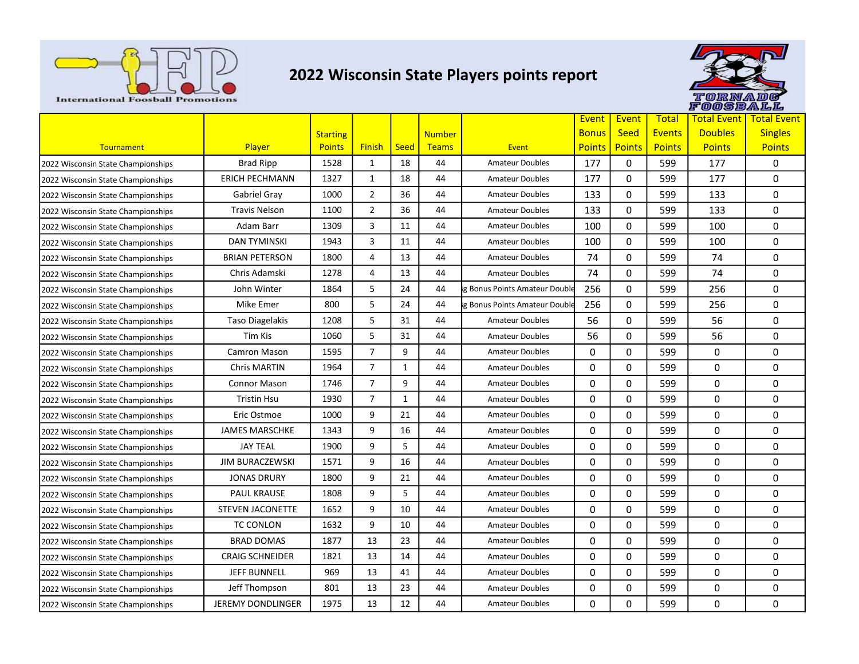

## 2022 Wisconsin State Players points report



|                                    |                          |                 |                |              |               |                               | Event         | Event         | <b>Total</b>  | <b>Total Event</b> | <b>Total Event</b> |
|------------------------------------|--------------------------|-----------------|----------------|--------------|---------------|-------------------------------|---------------|---------------|---------------|--------------------|--------------------|
|                                    |                          | <b>Starting</b> |                |              | <b>Number</b> |                               | <b>Bonus</b>  | <b>Seed</b>   | <b>Events</b> | <b>Doubles</b>     | <b>Singles</b>     |
| Tournament                         | Player                   | <b>Points</b>   | <b>Finish</b>  | <b>Seed</b>  | <b>Teams</b>  | Event                         | <b>Points</b> | <b>Points</b> | <b>Points</b> | <b>Points</b>      | <b>Points</b>      |
| 2022 Wisconsin State Championships | <b>Brad Ripp</b>         | 1528            | 1              | 18           | 44            | <b>Amateur Doubles</b>        | 177           | 0             | 599           | 177                | $\mathbf{0}$       |
| 2022 Wisconsin State Championships | <b>ERICH PECHMANN</b>    | 1327            | $\mathbf{1}$   | 18           | 44            | <b>Amateur Doubles</b>        | 177           | 0             | 599           | 177                | 0                  |
| 2022 Wisconsin State Championships | Gabriel Gray             | 1000            | $\overline{2}$ | 36           | 44            | <b>Amateur Doubles</b>        | 133           | 0             | 599           | 133                | 0                  |
| 2022 Wisconsin State Championships | <b>Travis Nelson</b>     | 1100            | $\overline{2}$ | 36           | 44            | <b>Amateur Doubles</b>        | 133           | 0             | 599           | 133                | 0                  |
| 2022 Wisconsin State Championships | Adam Barr                | 1309            | 3              | 11           | 44            | <b>Amateur Doubles</b>        | 100           | 0             | 599           | 100                | 0                  |
| 2022 Wisconsin State Championships | <b>DAN TYMINSKI</b>      | 1943            | 3              | 11           | 44            | <b>Amateur Doubles</b>        | 100           | 0             | 599           | 100                | 0                  |
| 2022 Wisconsin State Championships | <b>BRIAN PETERSON</b>    | 1800            | 4              | 13           | 44            | <b>Amateur Doubles</b>        | 74            | 0             | 599           | 74                 | 0                  |
| 2022 Wisconsin State Championships | Chris Adamski            | 1278            | 4              | 13           | 44            | <b>Amateur Doubles</b>        | 74            | 0             | 599           | 74                 | 0                  |
| 2022 Wisconsin State Championships | John Winter              | 1864            | 5              | 24           | 44            | g Bonus Points Amateur Double | 256           | 0             | 599           | 256                | $\Omega$           |
| 2022 Wisconsin State Championships | Mike Emer                | 800             | 5              | 24           | 44            | g Bonus Points Amateur Double | 256           | 0             | 599           | 256                | 0                  |
| 2022 Wisconsin State Championships | <b>Taso Diagelakis</b>   | 1208            | 5              | 31           | 44            | <b>Amateur Doubles</b>        | 56            | 0             | 599           | 56                 | 0                  |
| 2022 Wisconsin State Championships | Tim Kis                  | 1060            | 5              | 31           | 44            | <b>Amateur Doubles</b>        | 56            | 0             | 599           | 56                 | 0                  |
| 2022 Wisconsin State Championships | Camron Mason             | 1595            | $\overline{7}$ | 9            | 44            | <b>Amateur Doubles</b>        | 0             | 0             | 599           | 0                  | 0                  |
| 2022 Wisconsin State Championships | <b>Chris MARTIN</b>      | 1964            | $\overline{7}$ | $\mathbf{1}$ | 44            | <b>Amateur Doubles</b>        | 0             | 0             | 599           | 0                  | 0                  |
| 2022 Wisconsin State Championships | <b>Connor Mason</b>      | 1746            | $\overline{7}$ | 9            | 44            | <b>Amateur Doubles</b>        | 0             | 0             | 599           | 0                  | 0                  |
| 2022 Wisconsin State Championships | <b>Tristin Hsu</b>       | 1930            | $\overline{7}$ | $\mathbf{1}$ | 44            | <b>Amateur Doubles</b>        | 0             | 0             | 599           | 0                  | 0                  |
| 2022 Wisconsin State Championships | Eric Ostmoe              | 1000            | 9              | 21           | 44            | <b>Amateur Doubles</b>        | 0             | 0             | 599           | 0                  | 0                  |
| 2022 Wisconsin State Championships | <b>JAMES MARSCHKE</b>    | 1343            | 9              | 16           | 44            | <b>Amateur Doubles</b>        | 0             | 0             | 599           | 0                  | 0                  |
| 2022 Wisconsin State Championships | <b>JAY TEAL</b>          | 1900            | 9              | 5            | 44            | <b>Amateur Doubles</b>        | 0             | 0             | 599           | 0                  | 0                  |
| 2022 Wisconsin State Championships | <b>JIM BURACZEWSKI</b>   | 1571            | 9              | 16           | 44            | <b>Amateur Doubles</b>        | 0             | 0             | 599           | 0                  | 0                  |
| 2022 Wisconsin State Championships | <b>JONAS DRURY</b>       | 1800            | 9              | 21           | 44            | <b>Amateur Doubles</b>        | $\Omega$      | 0             | 599           | 0                  | 0                  |
| 2022 Wisconsin State Championships | <b>PAUL KRAUSE</b>       | 1808            | 9              | 5            | 44            | <b>Amateur Doubles</b>        | 0             | 0             | 599           | 0                  | 0                  |
| 2022 Wisconsin State Championships | <b>STEVEN JACONETTE</b>  | 1652            | 9              | 10           | 44            | <b>Amateur Doubles</b>        | 0             | 0             | 599           | 0                  | 0                  |
| 2022 Wisconsin State Championships | TC CONLON                | 1632            | 9              | 10           | 44            | <b>Amateur Doubles</b>        | $\Omega$      | 0             | 599           | $\Omega$           | $\Omega$           |
| 2022 Wisconsin State Championships | <b>BRAD DOMAS</b>        | 1877            | 13             | 23           | 44            | <b>Amateur Doubles</b>        | 0             | 0             | 599           | 0                  | 0                  |
| 2022 Wisconsin State Championships | <b>CRAIG SCHNEIDER</b>   | 1821            | 13             | 14           | 44            | <b>Amateur Doubles</b>        | 0             | 0             | 599           | 0                  | 0                  |
| 2022 Wisconsin State Championships | <b>JEFF BUNNELL</b>      | 969             | 13             | 41           | 44            | <b>Amateur Doubles</b>        | 0             | 0             | 599           | 0                  | 0                  |
| 2022 Wisconsin State Championships | Jeff Thompson            | 801             | 13             | 23           | 44            | <b>Amateur Doubles</b>        | 0             | 0             | 599           | 0                  | 0                  |
| 2022 Wisconsin State Championships | <b>JEREMY DONDLINGER</b> | 1975            | 13             | 12           | 44            | <b>Amateur Doubles</b>        | $\Omega$      | $\Omega$      | 599           | 0                  | 0                  |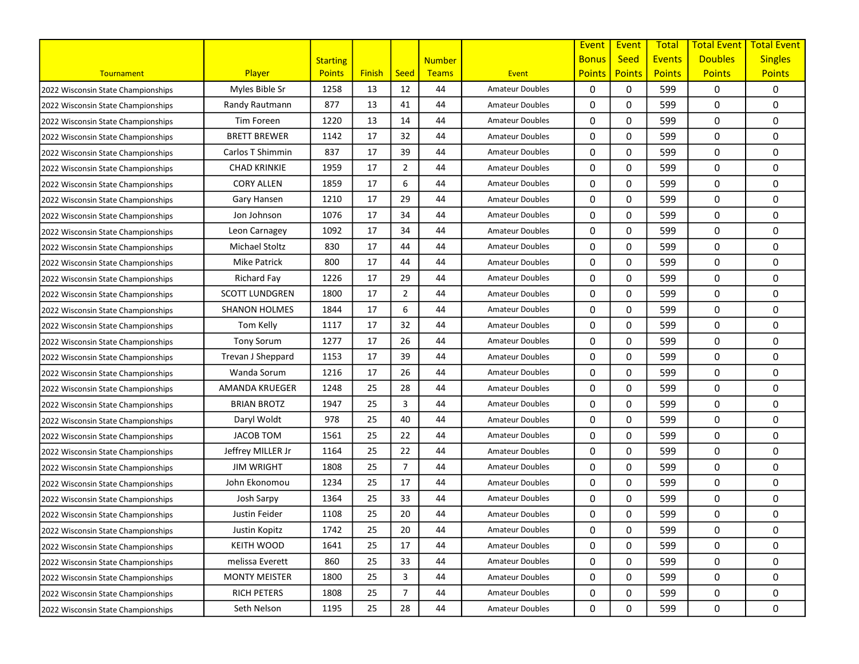|                                    |                       |                 |               |                |               |                        | Event         | Event         | <b>Total</b>  | <b>Total Event</b> | <b>Total Event</b> |
|------------------------------------|-----------------------|-----------------|---------------|----------------|---------------|------------------------|---------------|---------------|---------------|--------------------|--------------------|
|                                    |                       | <b>Starting</b> |               |                | <b>Number</b> |                        | <b>Bonus</b>  | <b>Seed</b>   | <b>Events</b> | <b>Doubles</b>     | <b>Singles</b>     |
| Tournament                         | <b>Player</b>         | <b>Points</b>   | <b>Finish</b> | <b>Seed</b>    | Teams         | Event                  | <b>Points</b> | <b>Points</b> | <b>Points</b> | <b>Points</b>      | <b>Points</b>      |
| 2022 Wisconsin State Championships | Myles Bible Sr        | 1258            | 13            | 12             | 44            | Amateur Doubles        | 0             | 0             | 599           | 0                  | 0                  |
| 2022 Wisconsin State Championships | Randy Rautmann        | 877             | 13            | 41             | 44            | <b>Amateur Doubles</b> | 0             | 0             | 599           | 0                  | 0                  |
| 2022 Wisconsin State Championships | Tim Foreen            | 1220            | 13            | 14             | 44            | <b>Amateur Doubles</b> | 0             | 0             | 599           | 0                  | 0                  |
| 2022 Wisconsin State Championships | <b>BRETT BREWER</b>   | 1142            | 17            | 32             | 44            | <b>Amateur Doubles</b> | 0             | 0             | 599           | 0                  | 0                  |
| 2022 Wisconsin State Championships | Carlos T Shimmin      | 837             | 17            | 39             | 44            | <b>Amateur Doubles</b> | 0             | 0             | 599           | 0                  | 0                  |
| 2022 Wisconsin State Championships | <b>CHAD KRINKIE</b>   | 1959            | 17            | $\overline{2}$ | 44            | <b>Amateur Doubles</b> | 0             | 0             | 599           | 0                  | 0                  |
| 2022 Wisconsin State Championships | <b>CORY ALLEN</b>     | 1859            | 17            | 6              | 44            | <b>Amateur Doubles</b> | 0             | $\mathbf 0$   | 599           | 0                  | 0                  |
| 2022 Wisconsin State Championships | Gary Hansen           | 1210            | 17            | 29             | 44            | <b>Amateur Doubles</b> | 0             | 0             | 599           | 0                  | 0                  |
| 2022 Wisconsin State Championships | Jon Johnson           | 1076            | 17            | 34             | 44            | <b>Amateur Doubles</b> | 0             | 0             | 599           | 0                  | 0                  |
| 2022 Wisconsin State Championships | Leon Carnagey         | 1092            | 17            | 34             | 44            | <b>Amateur Doubles</b> | 0             | 0             | 599           | 0                  | 0                  |
| 2022 Wisconsin State Championships | Michael Stoltz        | 830             | 17            | 44             | 44            | <b>Amateur Doubles</b> | 0             | 0             | 599           | 0                  | 0                  |
| 2022 Wisconsin State Championships | Mike Patrick          | 800             | 17            | 44             | 44            | <b>Amateur Doubles</b> | 0             | 0             | 599           | 0                  | 0                  |
| 2022 Wisconsin State Championships | Richard Fay           | 1226            | 17            | 29             | 44            | <b>Amateur Doubles</b> | 0             | $\Omega$      | 599           | 0                  | 0                  |
| 2022 Wisconsin State Championships | <b>SCOTT LUNDGREN</b> | 1800            | 17            | $\overline{2}$ | 44            | <b>Amateur Doubles</b> | 0             | 0             | 599           | 0                  | 0                  |
| 2022 Wisconsin State Championships | <b>SHANON HOLMES</b>  | 1844            | 17            | 6              | 44            | <b>Amateur Doubles</b> | 0             | 0             | 599           | 0                  | 0                  |
| 2022 Wisconsin State Championships | Tom Kelly             | 1117            | 17            | 32             | 44            | <b>Amateur Doubles</b> | 0             | 0             | 599           | 0                  | 0                  |
| 2022 Wisconsin State Championships | <b>Tony Sorum</b>     | 1277            | 17            | 26             | 44            | <b>Amateur Doubles</b> | 0             | 0             | 599           | 0                  | 0                  |
| 2022 Wisconsin State Championships | Trevan J Sheppard     | 1153            | 17            | 39             | 44            | <b>Amateur Doubles</b> | 0             | 0             | 599           | 0                  | 0                  |
| 2022 Wisconsin State Championships | Wanda Sorum           | 1216            | 17            | 26             | 44            | <b>Amateur Doubles</b> | 0             | $\mathbf 0$   | 599           | 0                  | 0                  |
| 2022 Wisconsin State Championships | AMANDA KRUEGER        | 1248            | 25            | 28             | 44            | <b>Amateur Doubles</b> | 0             | $\Omega$      | 599           | 0                  | 0                  |
| 2022 Wisconsin State Championships | <b>BRIAN BROTZ</b>    | 1947            | 25            | 3              | 44            | <b>Amateur Doubles</b> | 0             | 0             | 599           | 0                  | 0                  |
| 2022 Wisconsin State Championships | Daryl Woldt           | 978             | 25            | 40             | 44            | <b>Amateur Doubles</b> | 0             | 0             | 599           | 0                  | 0                  |
| 2022 Wisconsin State Championships | <b>JACOB TOM</b>      | 1561            | 25            | 22             | 44            | <b>Amateur Doubles</b> | 0             | 0             | 599           | 0                  | 0                  |
| 2022 Wisconsin State Championships | Jeffrey MILLER Jr     | 1164            | 25            | 22             | 44            | <b>Amateur Doubles</b> | 0             | 0             | 599           | 0                  | 0                  |
| 2022 Wisconsin State Championships | <b>JIM WRIGHT</b>     | 1808            | 25            | $\overline{7}$ | 44            | <b>Amateur Doubles</b> | 0             | $\Omega$      | 599           | 0                  | 0                  |
| 2022 Wisconsin State Championships | John Ekonomou         | 1234            | 25            | 17             | 44            | <b>Amateur Doubles</b> | 0             | $\mathbf 0$   | 599           | 0                  | 0                  |
| 2022 Wisconsin State Championships | Josh Sarpy            | 1364            | 25            | 33             | 44            | <b>Amateur Doubles</b> | 0             | 0             | 599           | 0                  | 0                  |
| 2022 Wisconsin State Championships | Justin Feider         | 1108            | 25            | 20             | 44            | <b>Amateur Doubles</b> | 0             | 0             | 599           | 0                  | 0                  |
| 2022 Wisconsin State Championships | Justin Kopitz         | 1742            | 25            | 20             | 44            | <b>Amateur Doubles</b> | 0             | 0             | 599           | 0                  | 0                  |
| 2022 Wisconsin State Championships | <b>KEITH WOOD</b>     | 1641            | 25            | 17             | 44            | <b>Amateur Doubles</b> | 0             | 0             | 599           | 0                  | 0                  |
| 2022 Wisconsin State Championships | melissa Everett       | 860             | 25            | 33             | 44            | Amateur Doubles        | 0             | 0             | 599           | 0                  | 0                  |
| 2022 Wisconsin State Championships | <b>MONTY MEISTER</b>  | 1800            | 25            | 3              | 44            | <b>Amateur Doubles</b> | 0             | 0             | 599           | 0                  | 0                  |
| 2022 Wisconsin State Championships | <b>RICH PETERS</b>    | 1808            | 25            | $\overline{7}$ | 44            | Amateur Doubles        | 0             | 0             | 599           | 0                  | 0                  |
| 2022 Wisconsin State Championships | Seth Nelson           | 1195            | 25            | 28             | 44            | <b>Amateur Doubles</b> | 0             | 0             | 599           | 0                  | 0                  |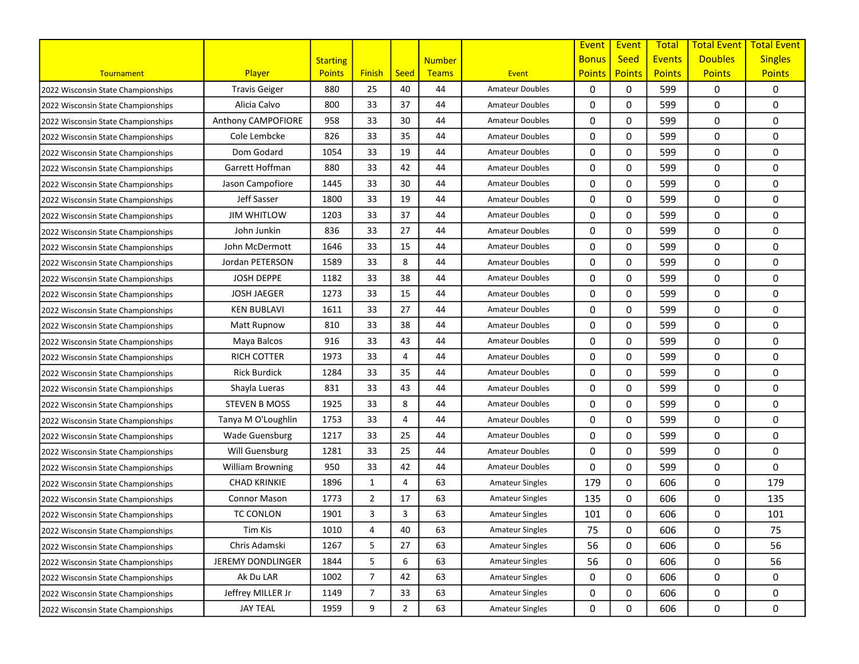|                                    |                          |                 |                |                |               |                        | Event         | Event         | <b>Total</b>  | <b>Total Event</b> | <b>Total Event</b> |
|------------------------------------|--------------------------|-----------------|----------------|----------------|---------------|------------------------|---------------|---------------|---------------|--------------------|--------------------|
|                                    |                          | <b>Starting</b> |                |                | <b>Number</b> |                        | <b>Bonus</b>  | <b>Seed</b>   | <b>Events</b> | <b>Doubles</b>     | <b>Singles</b>     |
| Tournament                         | Player                   | <b>Points</b>   | <b>Finish</b>  | <b>Seed</b>    | Teams         | Event                  | <b>Points</b> | <b>Points</b> | <b>Points</b> | <b>Points</b>      | <b>Points</b>      |
| 2022 Wisconsin State Championships | <b>Travis Geiger</b>     | 880             | 25             | 40             | 44            | <b>Amateur Doubles</b> | 0             | 0             | 599           | 0                  | 0                  |
| 2022 Wisconsin State Championships | Alicia Calvo             | 800             | 33             | 37             | 44            | <b>Amateur Doubles</b> | 0             | $\mathbf 0$   | 599           | 0                  | 0                  |
| 2022 Wisconsin State Championships | Anthony CAMPOFIORE       | 958             | 33             | 30             | 44            | <b>Amateur Doubles</b> | 0             | 0             | 599           | 0                  | 0                  |
| 2022 Wisconsin State Championships | Cole Lembcke             | 826             | 33             | 35             | 44            | <b>Amateur Doubles</b> | 0             | 0             | 599           | 0                  | 0                  |
| 2022 Wisconsin State Championships | Dom Godard               | 1054            | 33             | 19             | 44            | <b>Amateur Doubles</b> | 0             | 0             | 599           | 0                  | 0                  |
| 2022 Wisconsin State Championships | Garrett Hoffman          | 880             | 33             | 42             | 44            | <b>Amateur Doubles</b> | 0             | 0             | 599           | 0                  | 0                  |
| 2022 Wisconsin State Championships | Jason Campofiore         | 1445            | 33             | 30             | 44            | <b>Amateur Doubles</b> | 0             | $\mathbf 0$   | 599           | 0                  | 0                  |
| 2022 Wisconsin State Championships | Jeff Sasser              | 1800            | 33             | 19             | 44            | <b>Amateur Doubles</b> | 0             | $\Omega$      | 599           | 0                  | 0                  |
| 2022 Wisconsin State Championships | <b>JIM WHITLOW</b>       | 1203            | 33             | 37             | 44            | <b>Amateur Doubles</b> | 0             | 0             | 599           | 0                  | 0                  |
| 2022 Wisconsin State Championships | John Junkin              | 836             | 33             | 27             | 44            | <b>Amateur Doubles</b> | 0             | 0             | 599           | 0                  | 0                  |
| 2022 Wisconsin State Championships | John McDermott           | 1646            | 33             | 15             | 44            | <b>Amateur Doubles</b> | 0             | 0             | 599           | 0                  | 0                  |
| 2022 Wisconsin State Championships | Jordan PETERSON          | 1589            | 33             | 8              | 44            | <b>Amateur Doubles</b> | 0             | 0             | 599           | 0                  | 0                  |
| 2022 Wisconsin State Championships | <b>JOSH DEPPE</b>        | 1182            | 33             | 38             | 44            | <b>Amateur Doubles</b> | 0             | 0             | 599           | 0                  | 0                  |
| 2022 Wisconsin State Championships | <b>JOSH JAEGER</b>       | 1273            | 33             | 15             | 44            | <b>Amateur Doubles</b> | 0             | $\mathbf 0$   | 599           | 0                  | 0                  |
| 2022 Wisconsin State Championships | <b>KEN BUBLAVI</b>       | 1611            | 33             | 27             | 44            | <b>Amateur Doubles</b> | 0             | 0             | 599           | 0                  | 0                  |
| 2022 Wisconsin State Championships | <b>Matt Rupnow</b>       | 810             | 33             | 38             | 44            | <b>Amateur Doubles</b> | 0             | 0             | 599           | 0                  | 0                  |
| 2022 Wisconsin State Championships | Maya Balcos              | 916             | 33             | 43             | 44            | <b>Amateur Doubles</b> | 0             | 0             | 599           | 0                  | 0                  |
| 2022 Wisconsin State Championships | <b>RICH COTTER</b>       | 1973            | 33             | 4              | 44            | <b>Amateur Doubles</b> | 0             | 0             | 599           | 0                  | 0                  |
| 2022 Wisconsin State Championships | <b>Rick Burdick</b>      | 1284            | 33             | 35             | 44            | <b>Amateur Doubles</b> | 0             | 0             | 599           | 0                  | 0                  |
| 2022 Wisconsin State Championships | Shayla Lueras            | 831             | 33             | 43             | 44            | <b>Amateur Doubles</b> | 0             | $\mathbf 0$   | 599           | 0                  | 0                  |
| 2022 Wisconsin State Championships | <b>STEVEN B MOSS</b>     | 1925            | 33             | 8              | 44            | <b>Amateur Doubles</b> | 0             | $\mathbf 0$   | 599           | 0                  | 0                  |
| 2022 Wisconsin State Championships | Tanya M O'Loughlin       | 1753            | 33             | 4              | 44            | <b>Amateur Doubles</b> | 0             | 0             | 599           | 0                  | 0                  |
| 2022 Wisconsin State Championships | <b>Wade Guensburg</b>    | 1217            | 33             | 25             | 44            | <b>Amateur Doubles</b> | 0             | 0             | 599           | 0                  | 0                  |
| 2022 Wisconsin State Championships | Will Guensburg           | 1281            | 33             | 25             | 44            | <b>Amateur Doubles</b> | 0             | 0             | 599           | 0                  | 0                  |
| 2022 Wisconsin State Championships | <b>William Browning</b>  | 950             | 33             | 42             | 44            | <b>Amateur Doubles</b> | 0             | 0             | 599           | 0                  | 0                  |
| 2022 Wisconsin State Championships | <b>CHAD KRINKIE</b>      | 1896            | 1              | 4              | 63            | <b>Amateur Singles</b> | 179           | 0             | 606           | 0                  | 179                |
| 2022 Wisconsin State Championships | <b>Connor Mason</b>      | 1773            | $\overline{2}$ | 17             | 63            | <b>Amateur Singles</b> | 135           | 0             | 606           | 0                  | 135                |
| 2022 Wisconsin State Championships | <b>TC CONLON</b>         | 1901            | 3              | 3              | 63            | <b>Amateur Singles</b> | 101           | 0             | 606           | 0                  | 101                |
| 2022 Wisconsin State Championships | Tim Kis                  | 1010            | 4              | 40             | 63            | <b>Amateur Singles</b> | 75            | 0             | 606           | 0                  | 75                 |
| 2022 Wisconsin State Championships | Chris Adamski            | 1267            | 5              | 27             | 63            | <b>Amateur Singles</b> | 56            | 0             | 606           | 0                  | 56                 |
| 2022 Wisconsin State Championships | <b>JEREMY DONDLINGER</b> | 1844            | 5              | 6              | 63            | <b>Amateur Singles</b> | 56            | 0             | 606           | 0                  | 56                 |
| 2022 Wisconsin State Championships | Ak Du LAR                | 1002            | 7              | 42             | 63            | <b>Amateur Singles</b> | 0             | 0             | 606           | 0                  | 0                  |
| 2022 Wisconsin State Championships | Jeffrey MILLER Jr        | 1149            | 7              | 33             | 63            | <b>Amateur Singles</b> | 0             | 0             | 606           | 0                  | 0                  |
| 2022 Wisconsin State Championships | <b>JAY TEAL</b>          | 1959            | 9              | $\overline{2}$ | 63            | Amateur Singles        | 0             | 0             | 606           | 0                  | 0                  |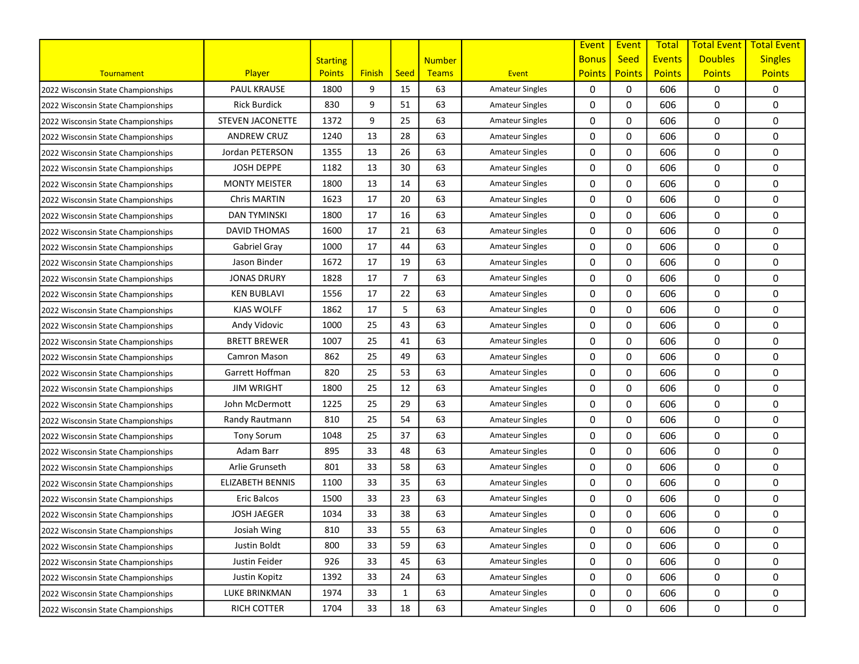|                                    |                         |                 |               |                |               |                        | Event         | Event         | <b>Total</b>  | <b>Total Event</b> | <b>Total Event</b> |
|------------------------------------|-------------------------|-----------------|---------------|----------------|---------------|------------------------|---------------|---------------|---------------|--------------------|--------------------|
|                                    |                         | <b>Starting</b> |               |                | <b>Number</b> |                        | <b>Bonus</b>  | <b>Seed</b>   | <b>Events</b> | <b>Doubles</b>     | <b>Singles</b>     |
| Tournament                         | Player                  | <b>Points</b>   | <b>Finish</b> | <b>Seed</b>    | Teams         | Event                  | <b>Points</b> | <b>Points</b> | <b>Points</b> | <b>Points</b>      | <b>Points</b>      |
| 2022 Wisconsin State Championships | <b>PAUL KRAUSE</b>      | 1800            | 9             | 15             | 63            | <b>Amateur Singles</b> | 0             | 0             | 606           | 0                  | 0                  |
| 2022 Wisconsin State Championships | <b>Rick Burdick</b>     | 830             | 9             | 51             | 63            | <b>Amateur Singles</b> | 0             | $\mathbf 0$   | 606           | 0                  | 0                  |
| 2022 Wisconsin State Championships | <b>STEVEN JACONETTE</b> | 1372            | 9             | 25             | 63            | <b>Amateur Singles</b> | 0             | 0             | 606           | 0                  | 0                  |
| 2022 Wisconsin State Championships | <b>ANDREW CRUZ</b>      | 1240            | 13            | 28             | 63            | <b>Amateur Singles</b> | 0             | 0             | 606           | 0                  | 0                  |
| 2022 Wisconsin State Championships | Jordan PETERSON         | 1355            | 13            | 26             | 63            | <b>Amateur Singles</b> | 0             | 0             | 606           | 0                  | 0                  |
| 2022 Wisconsin State Championships | <b>JOSH DEPPE</b>       | 1182            | 13            | 30             | 63            | <b>Amateur Singles</b> | 0             | 0             | 606           | 0                  | 0                  |
| 2022 Wisconsin State Championships | <b>MONTY MEISTER</b>    | 1800            | 13            | 14             | 63            | <b>Amateur Singles</b> | 0             | $\mathbf 0$   | 606           | 0                  | 0                  |
| 2022 Wisconsin State Championships | Chris MARTIN            | 1623            | 17            | 20             | 63            | <b>Amateur Singles</b> | 0             | $\Omega$      | 606           | 0                  | 0                  |
| 2022 Wisconsin State Championships | <b>DAN TYMINSKI</b>     | 1800            | 17            | 16             | 63            | <b>Amateur Singles</b> | 0             | 0             | 606           | 0                  | 0                  |
| 2022 Wisconsin State Championships | <b>DAVID THOMAS</b>     | 1600            | 17            | 21             | 63            | <b>Amateur Singles</b> | 0             | 0             | 606           | 0                  | 0                  |
| 2022 Wisconsin State Championships | Gabriel Gray            | 1000            | 17            | 44             | 63            | <b>Amateur Singles</b> | 0             | 0             | 606           | 0                  | 0                  |
| 2022 Wisconsin State Championships | Jason Binder            | 1672            | 17            | 19             | 63            | <b>Amateur Singles</b> | 0             | 0             | 606           | 0                  | 0                  |
| 2022 Wisconsin State Championships | <b>JONAS DRURY</b>      | 1828            | 17            | $\overline{7}$ | 63            | <b>Amateur Singles</b> | 0             | 0             | 606           | 0                  | 0                  |
| 2022 Wisconsin State Championships | <b>KEN BUBLAVI</b>      | 1556            | 17            | 22             | 63            | <b>Amateur Singles</b> | 0             | $\mathbf 0$   | 606           | 0                  | 0                  |
| 2022 Wisconsin State Championships | KJAS WOLFF              | 1862            | 17            | 5              | 63            | <b>Amateur Singles</b> | 0             | 0             | 606           | 0                  | 0                  |
| 2022 Wisconsin State Championships | Andy Vidovic            | 1000            | 25            | 43             | 63            | <b>Amateur Singles</b> | 0             | 0             | 606           | 0                  | 0                  |
| 2022 Wisconsin State Championships | <b>BRETT BREWER</b>     | 1007            | 25            | 41             | 63            | <b>Amateur Singles</b> | 0             | 0             | 606           | 0                  | 0                  |
| 2022 Wisconsin State Championships | Camron Mason            | 862             | 25            | 49             | 63            | <b>Amateur Singles</b> | 0             | 0             | 606           | 0                  | 0                  |
| 2022 Wisconsin State Championships | Garrett Hoffman         | 820             | 25            | 53             | 63            | <b>Amateur Singles</b> | 0             | 0             | 606           | 0                  | 0                  |
| 2022 Wisconsin State Championships | <b>JIM WRIGHT</b>       | 1800            | 25            | 12             | 63            | <b>Amateur Singles</b> | 0             | $\mathbf 0$   | 606           | 0                  | 0                  |
| 2022 Wisconsin State Championships | John McDermott          | 1225            | 25            | 29             | 63            | <b>Amateur Singles</b> | 0             | $\mathbf 0$   | 606           | 0                  | 0                  |
| 2022 Wisconsin State Championships | Randy Rautmann          | 810             | 25            | 54             | 63            | <b>Amateur Singles</b> | 0             | 0             | 606           | 0                  | 0                  |
| 2022 Wisconsin State Championships | <b>Tony Sorum</b>       | 1048            | 25            | 37             | 63            | <b>Amateur Singles</b> | 0             | 0             | 606           | 0                  | 0                  |
| 2022 Wisconsin State Championships | Adam Barr               | 895             | 33            | 48             | 63            | <b>Amateur Singles</b> | 0             | 0             | 606           | 0                  | 0                  |
| 2022 Wisconsin State Championships | Arlie Grunseth          | 801             | 33            | 58             | 63            | <b>Amateur Singles</b> | 0             | 0             | 606           | 0                  | 0                  |
| 2022 Wisconsin State Championships | <b>ELIZABETH BENNIS</b> | 1100            | 33            | 35             | 63            | <b>Amateur Singles</b> | 0             | $\mathbf 0$   | 606           | 0                  | 0                  |
| 2022 Wisconsin State Championships | <b>Eric Balcos</b>      | 1500            | 33            | 23             | 63            | <b>Amateur Singles</b> | 0             | $\Omega$      | 606           | 0                  | 0                  |
| 2022 Wisconsin State Championships | <b>JOSH JAEGER</b>      | 1034            | 33            | 38             | 63            | <b>Amateur Singles</b> | 0             | 0             | 606           | 0                  | 0                  |
| 2022 Wisconsin State Championships | Josiah Wing             | 810             | 33            | 55             | 63            | <b>Amateur Singles</b> | 0             | 0             | 606           | 0                  | 0                  |
| 2022 Wisconsin State Championships | Justin Boldt            | 800             | 33            | 59             | 63            | <b>Amateur Singles</b> | 0             | 0             | 606           | 0                  | 0                  |
| 2022 Wisconsin State Championships | Justin Feider           | 926             | 33            | 45             | 63            | <b>Amateur Singles</b> | 0             | 0             | 606           | 0                  | 0                  |
| 2022 Wisconsin State Championships | Justin Kopitz           | 1392            | 33            | 24             | 63            | <b>Amateur Singles</b> | 0             | 0             | 606           | 0                  | 0                  |
| 2022 Wisconsin State Championships | LUKE BRINKMAN           | 1974            | 33            | $\mathbf{1}$   | 63            | <b>Amateur Singles</b> | 0             | 0             | 606           | $\mathbf 0$        | 0                  |
| 2022 Wisconsin State Championships | RICH COTTER             | 1704            | 33            | 18             | 63            | <b>Amateur Singles</b> | 0             | 0             | 606           | 0                  | 0                  |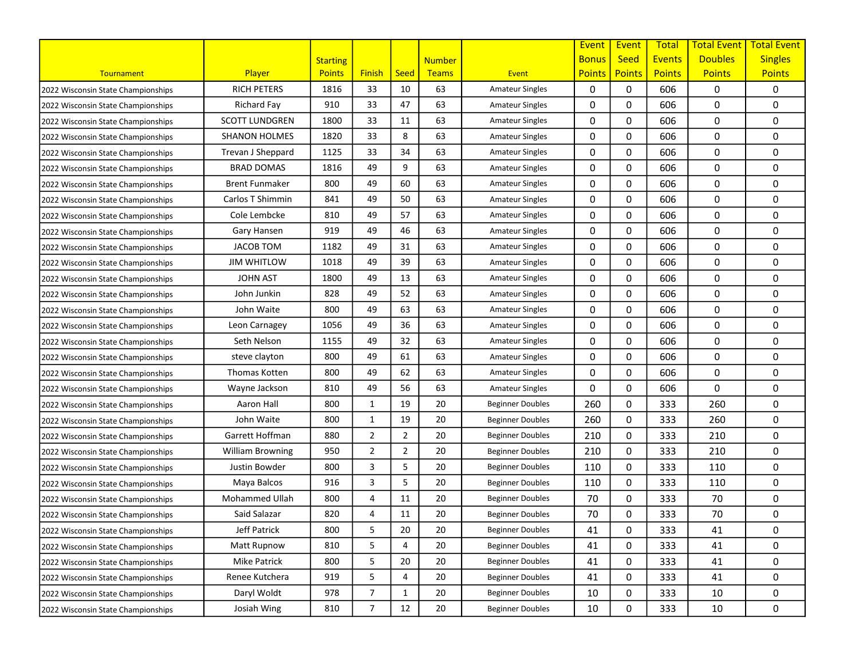|                                    |                         |                 |                |                |               |                         | Event         | Event         | <b>Total</b>  | <b>Total Event</b> | <b>Total Event</b> |
|------------------------------------|-------------------------|-----------------|----------------|----------------|---------------|-------------------------|---------------|---------------|---------------|--------------------|--------------------|
|                                    |                         | <b>Starting</b> |                |                | <b>Number</b> |                         | <b>Bonus</b>  | <b>Seed</b>   | <b>Events</b> | <b>Doubles</b>     | <b>Singles</b>     |
| Tournament                         | <b>Player</b>           | <b>Points</b>   | <b>Finish</b>  | <b>Seed</b>    | <b>Teams</b>  | Event                   | <b>Points</b> | <b>Points</b> | <b>Points</b> | <b>Points</b>      | <b>Points</b>      |
| 2022 Wisconsin State Championships | <b>RICH PETERS</b>      | 1816            | 33             | 10             | 63            | <b>Amateur Singles</b>  | 0             | 0             | 606           | 0                  | 0                  |
| 2022 Wisconsin State Championships | Richard Fay             | 910             | 33             | 47             | 63            | <b>Amateur Singles</b>  | 0             | 0             | 606           | 0                  | 0                  |
| 2022 Wisconsin State Championships | <b>SCOTT LUNDGREN</b>   | 1800            | 33             | 11             | 63            | <b>Amateur Singles</b>  | 0             | 0             | 606           | 0                  | 0                  |
| 2022 Wisconsin State Championships | <b>SHANON HOLMES</b>    | 1820            | 33             | 8              | 63            | <b>Amateur Singles</b>  | 0             | 0             | 606           | 0                  | 0                  |
| 2022 Wisconsin State Championships | Trevan J Sheppard       | 1125            | 33             | 34             | 63            | <b>Amateur Singles</b>  | 0             | 0             | 606           | 0                  | 0                  |
| 2022 Wisconsin State Championships | <b>BRAD DOMAS</b>       | 1816            | 49             | 9              | 63            | <b>Amateur Singles</b>  | 0             | 0             | 606           | 0                  | 0                  |
| 2022 Wisconsin State Championships | <b>Brent Funmaker</b>   | 800             | 49             | 60             | 63            | <b>Amateur Singles</b>  | 0             | $\mathbf 0$   | 606           | 0                  | 0                  |
| 2022 Wisconsin State Championships | Carlos T Shimmin        | 841             | 49             | 50             | 63            | <b>Amateur Singles</b>  | 0             | 0             | 606           | 0                  | 0                  |
| 2022 Wisconsin State Championships | Cole Lembcke            | 810             | 49             | 57             | 63            | <b>Amateur Singles</b>  | 0             | 0             | 606           | 0                  | 0                  |
| 2022 Wisconsin State Championships | Gary Hansen             | 919             | 49             | 46             | 63            | <b>Amateur Singles</b>  | 0             | 0             | 606           | 0                  | 0                  |
| 2022 Wisconsin State Championships | <b>JACOB TOM</b>        | 1182            | 49             | 31             | 63            | <b>Amateur Singles</b>  | 0             | $\mathbf 0$   | 606           | 0                  | 0                  |
| 2022 Wisconsin State Championships | <b>JIM WHITLOW</b>      | 1018            | 49             | 39             | 63            | <b>Amateur Singles</b>  | 0             | 0             | 606           | 0                  | 0                  |
| 2022 Wisconsin State Championships | <b>JOHN AST</b>         | 1800            | 49             | 13             | 63            | <b>Amateur Singles</b>  | 0             | $\mathbf 0$   | 606           | 0                  | 0                  |
| 2022 Wisconsin State Championships | John Junkin             | 828             | 49             | 52             | 63            | <b>Amateur Singles</b>  | 0             | $\mathbf 0$   | 606           | 0                  | 0                  |
| 2022 Wisconsin State Championships | John Waite              | 800             | 49             | 63             | 63            | <b>Amateur Singles</b>  | 0             | 0             | 606           | 0                  | 0                  |
| 2022 Wisconsin State Championships | Leon Carnagey           | 1056            | 49             | 36             | 63            | <b>Amateur Singles</b>  | 0             | 0             | 606           | 0                  | 0                  |
| 2022 Wisconsin State Championships | Seth Nelson             | 1155            | 49             | 32             | 63            | <b>Amateur Singles</b>  | 0             | 0             | 606           | 0                  | 0                  |
| 2022 Wisconsin State Championships | steve clayton           | 800             | 49             | 61             | 63            | <b>Amateur Singles</b>  | 0             | 0             | 606           | 0                  | 0                  |
| 2022 Wisconsin State Championships | Thomas Kotten           | 800             | 49             | 62             | 63            | <b>Amateur Singles</b>  | 0             | 0             | 606           | 0                  | 0                  |
| 2022 Wisconsin State Championships | Wayne Jackson           | 810             | 49             | 56             | 63            | <b>Amateur Singles</b>  | 0             | 0             | 606           | 0                  | 0                  |
| 2022 Wisconsin State Championships | Aaron Hall              | 800             | 1              | 19             | 20            | <b>Beginner Doubles</b> | 260           | 0             | 333           | 260                | 0                  |
| 2022 Wisconsin State Championships | John Waite              | 800             | 1              | 19             | 20            | <b>Beginner Doubles</b> | 260           | 0             | 333           | 260                | 0                  |
| 2022 Wisconsin State Championships | Garrett Hoffman         | 880             | $\overline{2}$ | $\overline{2}$ | 20            | <b>Beginner Doubles</b> | 210           | 0             | 333           | 210                | 0                  |
| 2022 Wisconsin State Championships | <b>William Browning</b> | 950             | $\overline{2}$ | $\overline{2}$ | 20            | <b>Beginner Doubles</b> | 210           | 0             | 333           | 210                | 0                  |
| 2022 Wisconsin State Championships | Justin Bowder           | 800             | 3              | 5              | 20            | <b>Beginner Doubles</b> | 110           | 0             | 333           | 110                | 0                  |
| 2022 Wisconsin State Championships | Maya Balcos             | 916             | 3              | 5              | 20            | <b>Beginner Doubles</b> | 110           | 0             | 333           | 110                | 0                  |
| 2022 Wisconsin State Championships | Mohammed Ullah          | 800             | 4              | 11             | 20            | <b>Beginner Doubles</b> | 70            | 0             | 333           | 70                 | 0                  |
| 2022 Wisconsin State Championships | Said Salazar            | 820             | 4              | 11             | 20            | <b>Beginner Doubles</b> | 70            | 0             | 333           | 70                 | 0                  |
| 2022 Wisconsin State Championships | Jeff Patrick            | 800             | 5              | 20             | 20            | <b>Beginner Doubles</b> | 41            | 0             | 333           | 41                 | 0                  |
| 2022 Wisconsin State Championships | Matt Rupnow             | 810             | 5              | 4              | 20            | <b>Beginner Doubles</b> | 41            | 0             | 333           | 41                 | 0                  |
| 2022 Wisconsin State Championships | <b>Mike Patrick</b>     | 800             | 5              | 20             | 20            | <b>Beginner Doubles</b> | 41            | 0             | 333           | 41                 | 0                  |
| 2022 Wisconsin State Championships | Renee Kutchera          | 919             | 5              | 4              | 20            | <b>Beginner Doubles</b> | 41            | 0             | 333           | 41                 | 0                  |
| 2022 Wisconsin State Championships | Daryl Woldt             | 978             | $\overline{7}$ | $\mathbf{1}$   | 20            | <b>Beginner Doubles</b> | 10            | 0             | 333           | 10                 | 0                  |
| 2022 Wisconsin State Championships | Josiah Wing             | 810             | $\overline{7}$ | 12             | 20            | <b>Beginner Doubles</b> | 10            | 0             | 333           | 10                 | 0                  |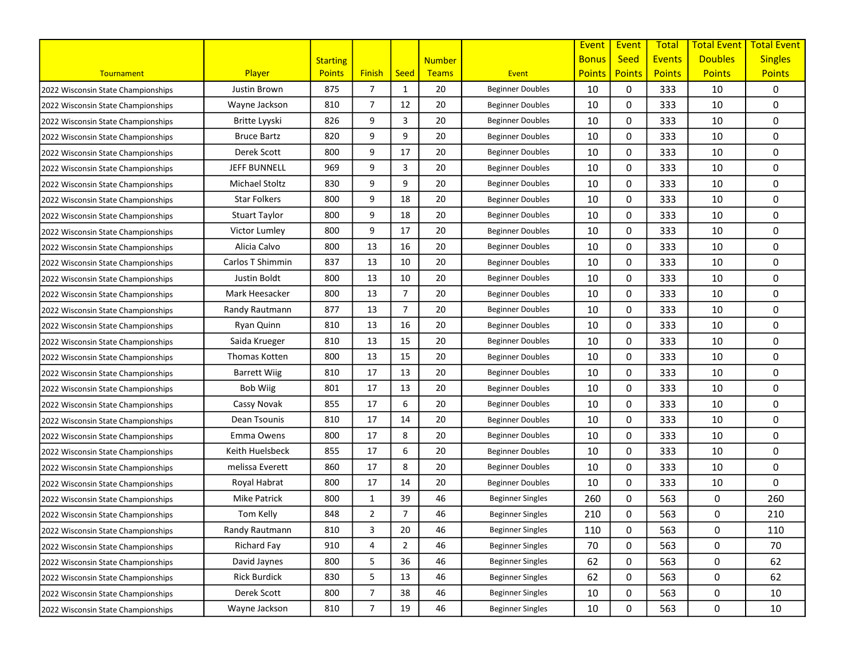|                                    |                      |                 |                |                |               |                         | Event         | Event         | <b>Total</b>  | <b>Total Event</b> | <b>Total Event</b> |
|------------------------------------|----------------------|-----------------|----------------|----------------|---------------|-------------------------|---------------|---------------|---------------|--------------------|--------------------|
|                                    |                      | <b>Starting</b> |                |                | <b>Number</b> |                         | <b>Bonus</b>  | <b>Seed</b>   | <b>Events</b> | <b>Doubles</b>     | <b>Singles</b>     |
| Tournament                         | Player               | <b>Points</b>   | <b>Finish</b>  | <b>Seed</b>    | Teams         | Event                   | <b>Points</b> | <b>Points</b> | <b>Points</b> | <b>Points</b>      | <b>Points</b>      |
| 2022 Wisconsin State Championships | Justin Brown         | 875             | $\overline{7}$ | $\mathbf{1}$   | 20            | <b>Beginner Doubles</b> | 10            | 0             | 333           | 10                 | 0                  |
| 2022 Wisconsin State Championships | Wayne Jackson        | 810             | $\overline{7}$ | 12             | 20            | <b>Beginner Doubles</b> | 10            | 0             | 333           | 10                 | 0                  |
| 2022 Wisconsin State Championships | Britte Lyyski        | 826             | 9              | 3              | 20            | <b>Beginner Doubles</b> | 10            | 0             | 333           | 10                 | 0                  |
| 2022 Wisconsin State Championships | <b>Bruce Bartz</b>   | 820             | 9              | 9              | 20            | <b>Beginner Doubles</b> | 10            | 0             | 333           | 10                 | 0                  |
| 2022 Wisconsin State Championships | Derek Scott          | 800             | 9              | 17             | 20            | <b>Beginner Doubles</b> | 10            | 0             | 333           | 10                 | 0                  |
| 2022 Wisconsin State Championships | <b>JEFF BUNNELL</b>  | 969             | 9              | 3              | 20            | <b>Beginner Doubles</b> | 10            | 0             | 333           | 10                 | 0                  |
| 2022 Wisconsin State Championships | Michael Stoltz       | 830             | 9              | 9              | 20            | <b>Beginner Doubles</b> | 10            | 0             | 333           | 10                 | 0                  |
| 2022 Wisconsin State Championships | <b>Star Folkers</b>  | 800             | 9              | 18             | 20            | <b>Beginner Doubles</b> | 10            | $\Omega$      | 333           | 10                 | 0                  |
| 2022 Wisconsin State Championships | <b>Stuart Taylor</b> | 800             | 9              | 18             | 20            | <b>Beginner Doubles</b> | 10            | 0             | 333           | 10                 | 0                  |
| 2022 Wisconsin State Championships | Victor Lumley        | 800             | 9              | 17             | 20            | <b>Beginner Doubles</b> | 10            | 0             | 333           | 10                 | 0                  |
| 2022 Wisconsin State Championships | Alicia Calvo         | 800             | 13             | 16             | 20            | <b>Beginner Doubles</b> | 10            | 0             | 333           | 10                 | 0                  |
| 2022 Wisconsin State Championships | Carlos T Shimmin     | 837             | 13             | 10             | 20            | <b>Beginner Doubles</b> | 10            | 0             | 333           | 10                 | 0                  |
| 2022 Wisconsin State Championships | Justin Boldt         | 800             | 13             | 10             | 20            | <b>Beginner Doubles</b> | 10            | 0             | 333           | 10                 | 0                  |
| 2022 Wisconsin State Championships | Mark Heesacker       | 800             | 13             | $\overline{7}$ | 20            | <b>Beginner Doubles</b> | 10            | 0             | 333           | 10                 | 0                  |
| 2022 Wisconsin State Championships | Randy Rautmann       | 877             | 13             | $\overline{7}$ | 20            | <b>Beginner Doubles</b> | 10            | 0             | 333           | 10                 | 0                  |
| 2022 Wisconsin State Championships | Ryan Quinn           | 810             | 13             | 16             | 20            | <b>Beginner Doubles</b> | 10            | 0             | 333           | 10                 | 0                  |
| 2022 Wisconsin State Championships | Saida Krueger        | 810             | 13             | 15             | 20            | <b>Beginner Doubles</b> | 10            | 0             | 333           | 10                 | 0                  |
| 2022 Wisconsin State Championships | Thomas Kotten        | 800             | 13             | 15             | 20            | <b>Beginner Doubles</b> | 10            | 0             | 333           | 10                 | 0                  |
| 2022 Wisconsin State Championships | <b>Barrett Wiig</b>  | 810             | 17             | 13             | 20            | <b>Beginner Doubles</b> | 10            | 0             | 333           | 10                 | 0                  |
| 2022 Wisconsin State Championships | Bob Wiig             | 801             | 17             | 13             | 20            | <b>Beginner Doubles</b> | 10            | 0             | 333           | 10                 | 0                  |
| 2022 Wisconsin State Championships | Cassy Novak          | 855             | 17             | 6              | 20            | <b>Beginner Doubles</b> | 10            | 0             | 333           | 10                 | 0                  |
| 2022 Wisconsin State Championships | Dean Tsounis         | 810             | 17             | 14             | 20            | <b>Beginner Doubles</b> | 10            | 0             | 333           | 10                 | 0                  |
| 2022 Wisconsin State Championships | Emma Owens           | 800             | 17             | 8              | 20            | <b>Beginner Doubles</b> | 10            | 0             | 333           | 10                 | 0                  |
| 2022 Wisconsin State Championships | Keith Huelsbeck      | 855             | 17             | 6              | 20            | <b>Beginner Doubles</b> | 10            | 0             | 333           | 10                 | 0                  |
| 2022 Wisconsin State Championships | melissa Everett      | 860             | 17             | 8              | 20            | <b>Beginner Doubles</b> | 10            | 0             | 333           | 10                 | 0                  |
| 2022 Wisconsin State Championships | Royal Habrat         | 800             | 17             | 14             | 20            | <b>Beginner Doubles</b> | 10            | 0             | 333           | 10                 | 0                  |
| 2022 Wisconsin State Championships | <b>Mike Patrick</b>  | 800             | 1              | 39             | 46            | <b>Beginner Singles</b> | 260           | 0             | 563           | 0                  | 260                |
| 2022 Wisconsin State Championships | Tom Kelly            | 848             | 2              | $\overline{7}$ | 46            | <b>Beginner Singles</b> | 210           | 0             | 563           | 0                  | 210                |
| 2022 Wisconsin State Championships | Randy Rautmann       | 810             | 3              | 20             | 46            | <b>Beginner Singles</b> | 110           | 0             | 563           | 0                  | 110                |
| 2022 Wisconsin State Championships | <b>Richard Fay</b>   | 910             | 4              | $\overline{2}$ | 46            | <b>Beginner Singles</b> | 70            | 0             | 563           | 0                  | 70                 |
| 2022 Wisconsin State Championships | David Jaynes         | 800             | 5              | 36             | 46            | <b>Beginner Singles</b> | 62            | 0             | 563           | 0                  | 62                 |
| 2022 Wisconsin State Championships | <b>Rick Burdick</b>  | 830             | 5              | 13             | 46            | <b>Beginner Singles</b> | 62            | 0             | 563           | 0                  | 62                 |
| 2022 Wisconsin State Championships | Derek Scott          | 800             | 7              | 38             | 46            | <b>Beginner Singles</b> | 10            | 0             | 563           | 0                  | 10                 |
| 2022 Wisconsin State Championships | Wayne Jackson        | 810             | $\overline{7}$ | 19             | 46            | <b>Beginner Singles</b> | 10            | 0             | 563           | 0                  | 10                 |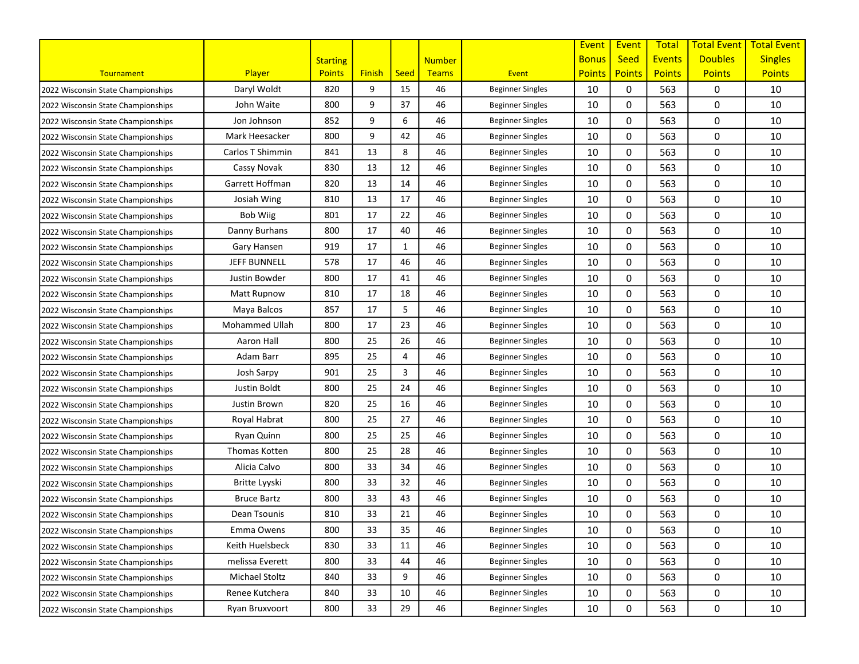|                                    |                     |                 |               |              |               |                         | Event         | Event         | <b>Total</b>  | <b>Total Event</b> | <b>Total Event</b> |
|------------------------------------|---------------------|-----------------|---------------|--------------|---------------|-------------------------|---------------|---------------|---------------|--------------------|--------------------|
|                                    |                     | <b>Starting</b> |               |              | <b>Number</b> |                         | <b>Bonus</b>  | <b>Seed</b>   | <b>Events</b> | <b>Doubles</b>     | <b>Singles</b>     |
| Tournament                         | <b>Player</b>       | <b>Points</b>   | <b>Finish</b> | <b>Seed</b>  | <b>Teams</b>  | Event                   | <b>Points</b> | <b>Points</b> | <b>Points</b> | <b>Points</b>      | <b>Points</b>      |
| 2022 Wisconsin State Championships | Daryl Woldt         | 820             | 9             | 15           | 46            | <b>Beginner Singles</b> | 10            | 0             | 563           | 0                  | 10                 |
| 2022 Wisconsin State Championships | John Waite          | 800             | 9             | 37           | 46            | <b>Beginner Singles</b> | 10            | 0             | 563           | 0                  | 10                 |
| 2022 Wisconsin State Championships | Jon Johnson         | 852             | 9             | 6            | 46            | <b>Beginner Singles</b> | 10            | 0             | 563           | 0                  | 10                 |
| 2022 Wisconsin State Championships | Mark Heesacker      | 800             | 9             | 42           | 46            | <b>Beginner Singles</b> | 10            | 0             | 563           | 0                  | 10                 |
| 2022 Wisconsin State Championships | Carlos T Shimmin    | 841             | 13            | 8            | 46            | <b>Beginner Singles</b> | 10            | 0             | 563           | 0                  | 10                 |
| 2022 Wisconsin State Championships | Cassy Novak         | 830             | 13            | 12           | 46            | <b>Beginner Singles</b> | 10            | 0             | 563           | 0                  | 10                 |
| 2022 Wisconsin State Championships | Garrett Hoffman     | 820             | 13            | 14           | 46            | <b>Beginner Singles</b> | 10            | 0             | 563           | 0                  | 10                 |
| 2022 Wisconsin State Championships | Josiah Wing         | 810             | 13            | 17           | 46            | <b>Beginner Singles</b> | 10            | 0             | 563           | 0                  | 10                 |
| 2022 Wisconsin State Championships | <b>Bob Wiig</b>     | 801             | 17            | 22           | 46            | <b>Beginner Singles</b> | 10            | 0             | 563           | 0                  | 10                 |
| 2022 Wisconsin State Championships | Danny Burhans       | 800             | 17            | 40           | 46            | <b>Beginner Singles</b> | 10            | 0             | 563           | 0                  | 10                 |
| 2022 Wisconsin State Championships | Gary Hansen         | 919             | 17            | $\mathbf{1}$ | 46            | <b>Beginner Singles</b> | 10            | 0             | 563           | 0                  | 10                 |
| 2022 Wisconsin State Championships | <b>JEFF BUNNELL</b> | 578             | 17            | 46           | 46            | <b>Beginner Singles</b> | 10            | 0             | 563           | 0                  | 10                 |
| 2022 Wisconsin State Championships | Justin Bowder       | 800             | 17            | 41           | 46            | <b>Beginner Singles</b> | 10            | 0             | 563           | 0                  | 10                 |
| 2022 Wisconsin State Championships | <b>Matt Rupnow</b>  | 810             | 17            | 18           | 46            | <b>Beginner Singles</b> | 10            | 0             | 563           | 0                  | 10                 |
| 2022 Wisconsin State Championships | Maya Balcos         | 857             | 17            | 5            | 46            | <b>Beginner Singles</b> | 10            | 0             | 563           | 0                  | 10                 |
| 2022 Wisconsin State Championships | Mohammed Ullah      | 800             | 17            | 23           | 46            | <b>Beginner Singles</b> | 10            | 0             | 563           | 0                  | 10                 |
| 2022 Wisconsin State Championships | Aaron Hall          | 800             | 25            | 26           | 46            | <b>Beginner Singles</b> | 10            | 0             | 563           | 0                  | 10                 |
| 2022 Wisconsin State Championships | Adam Barr           | 895             | 25            | 4            | 46            | <b>Beginner Singles</b> | 10            | 0             | 563           | 0                  | 10                 |
| 2022 Wisconsin State Championships | Josh Sarpy          | 901             | 25            | 3            | 46            | <b>Beginner Singles</b> | 10            | 0             | 563           | 0                  | 10                 |
| 2022 Wisconsin State Championships | Justin Boldt        | 800             | 25            | 24           | 46            | <b>Beginner Singles</b> | 10            | 0             | 563           | 0                  | 10                 |
| 2022 Wisconsin State Championships | Justin Brown        | 820             | 25            | 16           | 46            | <b>Beginner Singles</b> | 10            | 0             | 563           | 0                  | 10                 |
| 2022 Wisconsin State Championships | Royal Habrat        | 800             | 25            | 27           | 46            | <b>Beginner Singles</b> | 10            | 0             | 563           | 0                  | 10                 |
| 2022 Wisconsin State Championships | Ryan Quinn          | 800             | 25            | 25           | 46            | <b>Beginner Singles</b> | 10            | 0             | 563           | 0                  | 10                 |
| 2022 Wisconsin State Championships | Thomas Kotten       | 800             | 25            | 28           | 46            | <b>Beginner Singles</b> | 10            | 0             | 563           | 0                  | 10                 |
| 2022 Wisconsin State Championships | Alicia Calvo        | 800             | 33            | 34           | 46            | <b>Beginner Singles</b> | 10            | 0             | 563           | 0                  | 10                 |
| 2022 Wisconsin State Championships | Britte Lyyski       | 800             | 33            | 32           | 46            | <b>Beginner Singles</b> | 10            | 0             | 563           | 0                  | 10                 |
| 2022 Wisconsin State Championships | <b>Bruce Bartz</b>  | 800             | 33            | 43           | 46            | <b>Beginner Singles</b> | 10            | 0             | 563           | 0                  | 10                 |
| 2022 Wisconsin State Championships | Dean Tsounis        | 810             | 33            | 21           | 46            | <b>Beginner Singles</b> | 10            | 0             | 563           | 0                  | 10                 |
| 2022 Wisconsin State Championships | Emma Owens          | 800             | 33            | 35           | 46            | <b>Beginner Singles</b> | 10            | 0             | 563           | 0                  | 10                 |
| 2022 Wisconsin State Championships | Keith Huelsbeck     | 830             | 33            | 11           | 46            | <b>Beginner Singles</b> | 10            | 0             | 563           | 0                  | 10                 |
| 2022 Wisconsin State Championships | melissa Everett     | 800             | 33            | 44           | 46            | <b>Beginner Singles</b> | 10            | 0             | 563           | 0                  | 10                 |
| 2022 Wisconsin State Championships | Michael Stoltz      | 840             | 33            | 9            | 46            | <b>Beginner Singles</b> | 10            | 0             | 563           | 0                  | 10                 |
| 2022 Wisconsin State Championships | Renee Kutchera      | 840             | 33            | 10           | 46            | <b>Beginner Singles</b> | 10            | 0             | 563           | 0                  | 10                 |
| 2022 Wisconsin State Championships | Ryan Bruxvoort      | 800             | 33            | 29           | 46            | <b>Beginner Singles</b> | 10            | 0             | 563           | 0                  | 10                 |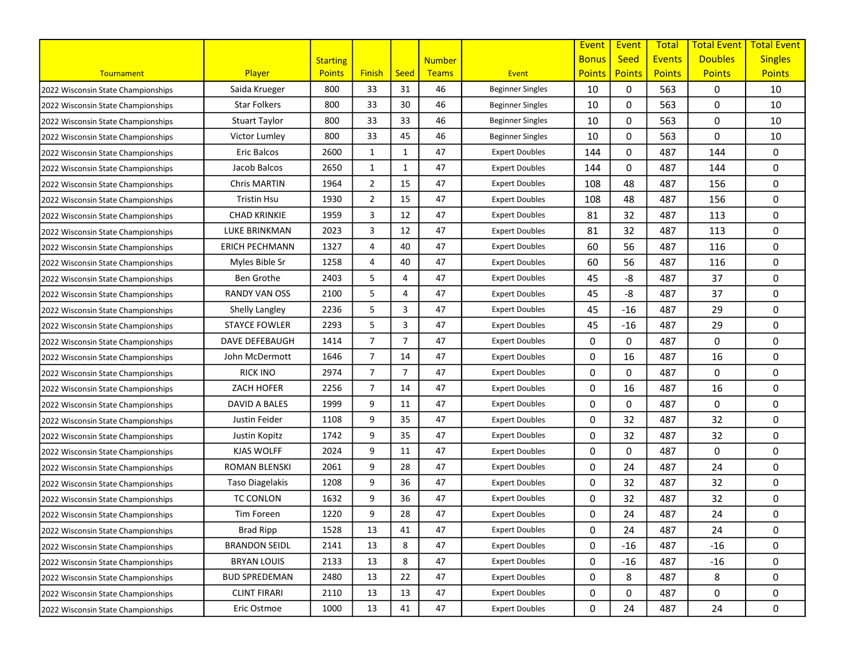|                                    |                        |                 |                |                |               |                         | Event         | Event         | <b>Total</b>  | <b>Total Event</b> | <b>Total Event</b> |
|------------------------------------|------------------------|-----------------|----------------|----------------|---------------|-------------------------|---------------|---------------|---------------|--------------------|--------------------|
|                                    |                        | <b>Starting</b> |                |                | <b>Number</b> |                         | <b>Bonus</b>  | <b>Seed</b>   | <b>Events</b> | <b>Doubles</b>     | <b>Singles</b>     |
| Tournament                         | Player                 | <b>Points</b>   | <b>Finish</b>  | <b>Seed</b>    | Teams         | Event                   | <b>Points</b> | <b>Points</b> | <b>Points</b> | <b>Points</b>      | <b>Points</b>      |
| 2022 Wisconsin State Championships | Saida Krueger          | 800             | 33             | 31             | 46            | <b>Beginner Singles</b> | 10            | 0             | 563           | 0                  | 10                 |
| 2022 Wisconsin State Championships | <b>Star Folkers</b>    | 800             | 33             | 30             | 46            | <b>Beginner Singles</b> | 10            | 0             | 563           | 0                  | 10                 |
| 2022 Wisconsin State Championships | <b>Stuart Taylor</b>   | 800             | 33             | 33             | 46            | <b>Beginner Singles</b> | 10            | 0             | 563           | 0                  | 10                 |
| 2022 Wisconsin State Championships | Victor Lumley          | 800             | 33             | 45             | 46            | <b>Beginner Singles</b> | 10            | 0             | 563           | 0                  | 10                 |
| 2022 Wisconsin State Championships | Eric Balcos            | 2600            | 1              | $\mathbf{1}$   | 47            | <b>Expert Doubles</b>   | 144           | 0             | 487           | 144                | 0                  |
| 2022 Wisconsin State Championships | Jacob Balcos           | 2650            | 1              | 1              | 47            | <b>Expert Doubles</b>   | 144           | 0             | 487           | 144                | 0                  |
| 2022 Wisconsin State Championships | Chris MARTIN           | 1964            | $\overline{2}$ | 15             | 47            | <b>Expert Doubles</b>   | 108           | 48            | 487           | 156                | 0                  |
| 2022 Wisconsin State Championships | <b>Tristin Hsu</b>     | 1930            | $\overline{2}$ | 15             | 47            | <b>Expert Doubles</b>   | 108           | 48            | 487           | 156                | 0                  |
| 2022 Wisconsin State Championships | CHAD KRINKIE           | 1959            | 3              | 12             | 47            | <b>Expert Doubles</b>   | 81            | 32            | 487           | 113                | 0                  |
| 2022 Wisconsin State Championships | <b>LUKE BRINKMAN</b>   | 2023            | 3              | 12             | 47            | <b>Expert Doubles</b>   | 81            | 32            | 487           | 113                | 0                  |
| 2022 Wisconsin State Championships | <b>ERICH PECHMANN</b>  | 1327            | $\overline{4}$ | 40             | 47            | <b>Expert Doubles</b>   | 60            | 56            | 487           | 116                | 0                  |
| 2022 Wisconsin State Championships | Myles Bible Sr         | 1258            | $\overline{4}$ | 40             | 47            | <b>Expert Doubles</b>   | 60            | 56            | 487           | 116                | 0                  |
| 2022 Wisconsin State Championships | <b>Ben Grothe</b>      | 2403            | 5              | 4              | 47            | <b>Expert Doubles</b>   | 45            | -8            | 487           | 37                 | 0                  |
| 2022 Wisconsin State Championships | <b>RANDY VAN OSS</b>   | 2100            | 5              | 4              | 47            | <b>Expert Doubles</b>   | 45            | -8            | 487           | 37                 | 0                  |
| 2022 Wisconsin State Championships | Shelly Langley         | 2236            | 5              | 3              | 47            | <b>Expert Doubles</b>   | 45            | $-16$         | 487           | 29                 | 0                  |
| 2022 Wisconsin State Championships | <b>STAYCE FOWLER</b>   | 2293            | 5              | 3              | 47            | <b>Expert Doubles</b>   | 45            | $-16$         | 487           | 29                 | 0                  |
| 2022 Wisconsin State Championships | DAVE DEFEBAUGH         | 1414            | $\overline{7}$ | $\overline{7}$ | 47            | <b>Expert Doubles</b>   | 0             | 0             | 487           | 0                  | 0                  |
| 2022 Wisconsin State Championships | John McDermott         | 1646            | $\overline{7}$ | 14             | 47            | <b>Expert Doubles</b>   | 0             | 16            | 487           | 16                 | 0                  |
| 2022 Wisconsin State Championships | <b>RICK INO</b>        | 2974            | $\overline{7}$ | $\overline{7}$ | 47            | <b>Expert Doubles</b>   | 0             | 0             | 487           | 0                  | 0                  |
| 2022 Wisconsin State Championships | ZACH HOFER             | 2256            | $\overline{7}$ | 14             | 47            | <b>Expert Doubles</b>   | 0             | 16            | 487           | 16                 | 0                  |
| 2022 Wisconsin State Championships | DAVID A BALES          | 1999            | 9              | 11             | 47            | <b>Expert Doubles</b>   | 0             | $\Omega$      | 487           | 0                  | 0                  |
| 2022 Wisconsin State Championships | Justin Feider          | 1108            | 9              | 35             | 47            | <b>Expert Doubles</b>   | 0             | 32            | 487           | 32                 | 0                  |
| 2022 Wisconsin State Championships | Justin Kopitz          | 1742            | 9              | 35             | 47            | <b>Expert Doubles</b>   | 0             | 32            | 487           | 32                 | 0                  |
| 2022 Wisconsin State Championships | KJAS WOLFF             | 2024            | 9              | 11             | 47            | <b>Expert Doubles</b>   | 0             | 0             | 487           | 0                  | 0                  |
| 2022 Wisconsin State Championships | ROMAN BLENSKI          | 2061            | 9              | 28             | 47            | <b>Expert Doubles</b>   | 0             | 24            | 487           | 24                 | 0                  |
| 2022 Wisconsin State Championships | <b>Taso Diagelakis</b> | 1208            | 9              | 36             | 47            | <b>Expert Doubles</b>   | 0             | 32            | 487           | 32                 | 0                  |
| 2022 Wisconsin State Championships | <b>TC CONLON</b>       | 1632            | 9              | 36             | 47            | <b>Expert Doubles</b>   | 0             | 32            | 487           | 32                 | 0                  |
| 2022 Wisconsin State Championships | Tim Foreen             | 1220            | 9              | 28             | 47            | <b>Expert Doubles</b>   | 0             | 24            | 487           | 24                 | 0                  |
| 2022 Wisconsin State Championships | <b>Brad Ripp</b>       | 1528            | 13             | 41             | 47            | <b>Expert Doubles</b>   | 0             | 24            | 487           | 24                 | 0                  |
| 2022 Wisconsin State Championships | <b>BRANDON SEIDL</b>   | 2141            | 13             | 8              | 47            | <b>Expert Doubles</b>   | 0             | $-16$         | 487           | $-16$              | 0                  |
| 2022 Wisconsin State Championships | <b>BRYAN LOUIS</b>     | 2133            | 13             | 8              | 47            | <b>Expert Doubles</b>   | 0             | $-16$         | 487           | $-16$              | 0                  |
| 2022 Wisconsin State Championships | <b>BUD SPREDEMAN</b>   | 2480            | 13             | 22             | 47            | <b>Expert Doubles</b>   | 0             | 8             | 487           | 8                  | 0                  |
| 2022 Wisconsin State Championships | <b>CLINT FIRARI</b>    | 2110            | 13             | 13             | 47            | <b>Expert Doubles</b>   | 0             | 0             | 487           | 0                  | 0                  |
| 2022 Wisconsin State Championships | Eric Ostmoe            | 1000            | 13             | 41             | 47            | <b>Expert Doubles</b>   | 0             | 24            | 487           | 24                 | 0                  |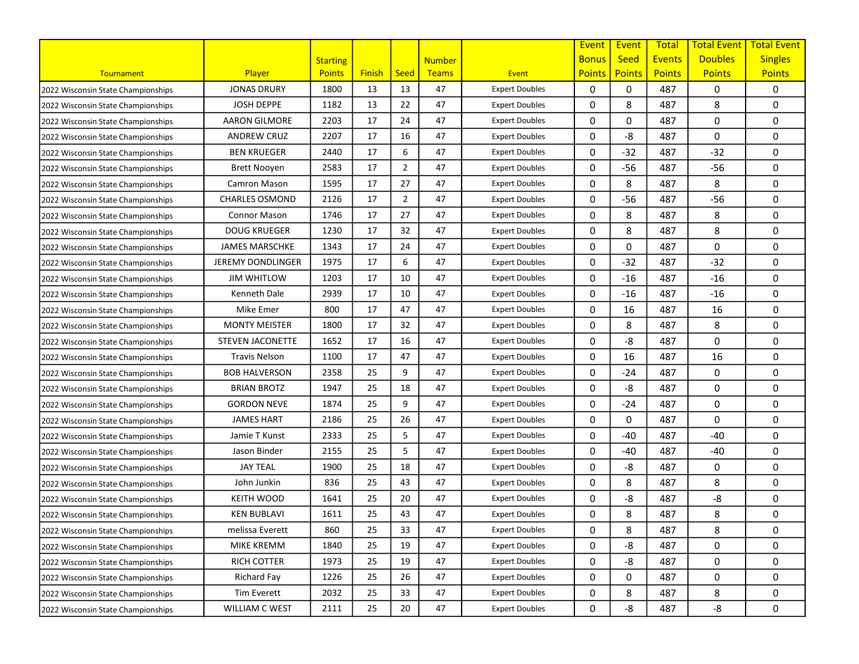|                                    |                          |                 |               |                |               |                       | Event         | Event         | <b>Total</b>  | <b>Total Event</b> | <b>Total Event</b> |
|------------------------------------|--------------------------|-----------------|---------------|----------------|---------------|-----------------------|---------------|---------------|---------------|--------------------|--------------------|
|                                    |                          | <b>Starting</b> |               |                | <b>Number</b> |                       | <b>Bonus</b>  | <b>Seed</b>   | <b>Events</b> | <b>Doubles</b>     | <b>Singles</b>     |
| Tournament                         | <b>Player</b>            | <b>Points</b>   | <b>Finish</b> | <b>Seed</b>    | Teams         | Event                 | <b>Points</b> | <b>Points</b> | <b>Points</b> | <b>Points</b>      | <b>Points</b>      |
| 2022 Wisconsin State Championships | <b>JONAS DRURY</b>       | 1800            | 13            | 13             | 47            | <b>Expert Doubles</b> | 0             | 0             | 487           | 0                  | 0                  |
| 2022 Wisconsin State Championships | <b>JOSH DEPPE</b>        | 1182            | 13            | 22             | 47            | <b>Expert Doubles</b> | 0             | 8             | 487           | 8                  | 0                  |
| 2022 Wisconsin State Championships | <b>AARON GILMORE</b>     | 2203            | 17            | 24             | 47            | <b>Expert Doubles</b> | 0             | 0             | 487           | 0                  | 0                  |
| 2022 Wisconsin State Championships | <b>ANDREW CRUZ</b>       | 2207            | 17            | 16             | 47            | <b>Expert Doubles</b> | 0             | -8            | 487           | 0                  | 0                  |
| 2022 Wisconsin State Championships | <b>BEN KRUEGER</b>       | 2440            | 17            | 6              | 47            | <b>Expert Doubles</b> | 0             | $-32$         | 487           | $-32$              | 0                  |
| 2022 Wisconsin State Championships | <b>Brett Nooyen</b>      | 2583            | 17            | $\overline{2}$ | 47            | <b>Expert Doubles</b> | 0             | $-56$         | 487           | $-56$              | 0                  |
| 2022 Wisconsin State Championships | Camron Mason             | 1595            | 17            | 27             | 47            | <b>Expert Doubles</b> | 0             | 8             | 487           | 8                  | 0                  |
| 2022 Wisconsin State Championships | <b>CHARLES OSMOND</b>    | 2126            | 17            | $\overline{2}$ | 47            | <b>Expert Doubles</b> | 0             | $-56$         | 487           | $-56$              | 0                  |
| 2022 Wisconsin State Championships | <b>Connor Mason</b>      | 1746            | 17            | 27             | 47            | <b>Expert Doubles</b> | 0             | 8             | 487           | 8                  | 0                  |
| 2022 Wisconsin State Championships | <b>DOUG KRUEGER</b>      | 1230            | 17            | 32             | 47            | <b>Expert Doubles</b> | 0             | 8             | 487           | 8                  | 0                  |
| 2022 Wisconsin State Championships | <b>JAMES MARSCHKE</b>    | 1343            | 17            | 24             | 47            | <b>Expert Doubles</b> | 0             | 0             | 487           | 0                  | 0                  |
| 2022 Wisconsin State Championships | <b>JEREMY DONDLINGER</b> | 1975            | 17            | 6              | 47            | <b>Expert Doubles</b> | 0             | $-32$         | 487           | $-32$              | 0                  |
| 2022 Wisconsin State Championships | <b>JIM WHITLOW</b>       | 1203            | 17            | 10             | 47            | <b>Expert Doubles</b> | 0             | $-16$         | 487           | $-16$              | 0                  |
| 2022 Wisconsin State Championships | Kenneth Dale             | 2939            | 17            | 10             | 47            | <b>Expert Doubles</b> | 0             | $-16$         | 487           | $-16$              | 0                  |
| 2022 Wisconsin State Championships | Mike Emer                | 800             | 17            | 47             | 47            | <b>Expert Doubles</b> | 0             | 16            | 487           | 16                 | 0                  |
| 2022 Wisconsin State Championships | <b>MONTY MEISTER</b>     | 1800            | 17            | 32             | 47            | <b>Expert Doubles</b> | 0             | 8             | 487           | 8                  | 0                  |
| 2022 Wisconsin State Championships | <b>STEVEN JACONETTE</b>  | 1652            | 17            | 16             | 47            | <b>Expert Doubles</b> | 0             | -8            | 487           | 0                  | 0                  |
| 2022 Wisconsin State Championships | <b>Travis Nelson</b>     | 1100            | 17            | 47             | 47            | <b>Expert Doubles</b> | 0             | 16            | 487           | 16                 | 0                  |
| 2022 Wisconsin State Championships | BOB HALVERSON            | 2358            | 25            | 9              | 47            | <b>Expert Doubles</b> | 0             | $-24$         | 487           | 0                  | 0                  |
| 2022 Wisconsin State Championships | <b>BRIAN BROTZ</b>       | 1947            | 25            | 18             | 47            | <b>Expert Doubles</b> | 0             | -8            | 487           | 0                  | 0                  |
| 2022 Wisconsin State Championships | <b>GORDON NEVE</b>       | 1874            | 25            | 9              | 47            | <b>Expert Doubles</b> | 0             | $-24$         | 487           | 0                  | 0                  |
| 2022 Wisconsin State Championships | <b>JAMES HART</b>        | 2186            | 25            | 26             | 47            | <b>Expert Doubles</b> | 0             | 0             | 487           | 0                  | 0                  |
| 2022 Wisconsin State Championships | Jamie T Kunst            | 2333            | 25            | 5              | 47            | <b>Expert Doubles</b> | 0             | $-40$         | 487           | $-40$              | 0                  |
| 2022 Wisconsin State Championships | Jason Binder             | 2155            | 25            | 5              | 47            | <b>Expert Doubles</b> | 0             | $-40$         | 487           | $-40$              | 0                  |
| 2022 Wisconsin State Championships | <b>JAY TEAL</b>          | 1900            | 25            | 18             | 47            | <b>Expert Doubles</b> | 0             | -8            | 487           | 0                  | 0                  |
| 2022 Wisconsin State Championships | John Junkin              | 836             | 25            | 43             | 47            | <b>Expert Doubles</b> | 0             | 8             | 487           | 8                  | 0                  |
| 2022 Wisconsin State Championships | <b>KEITH WOOD</b>        | 1641            | 25            | 20             | 47            | <b>Expert Doubles</b> | 0             | -8            | 487           | -8                 | 0                  |
| 2022 Wisconsin State Championships | <b>KEN BUBLAVI</b>       | 1611            | 25            | 43             | 47            | <b>Expert Doubles</b> | 0             | 8             | 487           | 8                  | 0                  |
| 2022 Wisconsin State Championships | melissa Everett          | 860             | 25            | 33             | 47            | <b>Expert Doubles</b> | 0             | 8             | 487           | 8                  | 0                  |
| 2022 Wisconsin State Championships | MIKE KREMM               | 1840            | 25            | 19             | 47            | <b>Expert Doubles</b> | 0             | -8            | 487           | 0                  | 0                  |
| 2022 Wisconsin State Championships | RICH COTTER              | 1973            | 25            | 19             | 47            | <b>Expert Doubles</b> | 0             | -8            | 487           | 0                  | 0                  |
| 2022 Wisconsin State Championships | Richard Fay              | 1226            | 25            | 26             | 47            | <b>Expert Doubles</b> | 0             | 0             | 487           | 0                  | 0                  |
| 2022 Wisconsin State Championships | Tim Everett              | 2032            | 25            | 33             | 47            | <b>Expert Doubles</b> | 0             | 8             | 487           | 8                  | 0                  |
| 2022 Wisconsin State Championships | WILLIAM C WEST           | 2111            | 25            | 20             | 47            | <b>Expert Doubles</b> | 0             | -8            | 487           | -8                 | 0                  |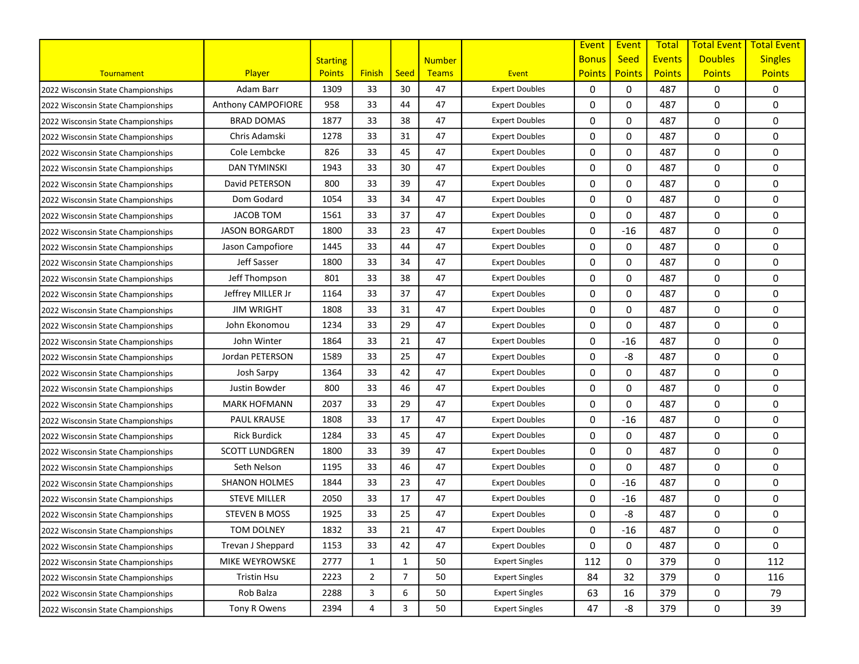|                                    |                       |                 |                |                |               |                       | Event         | Event         | <b>Total</b>  | <b>Total Event</b> | <b>Total Event</b> |
|------------------------------------|-----------------------|-----------------|----------------|----------------|---------------|-----------------------|---------------|---------------|---------------|--------------------|--------------------|
|                                    |                       | <b>Starting</b> |                |                | <b>Number</b> |                       | <b>Bonus</b>  | <b>Seed</b>   | <b>Events</b> | <b>Doubles</b>     | <b>Singles</b>     |
| Tournament                         | <b>Player</b>         | <b>Points</b>   | <b>Finish</b>  | <b>Seed</b>    | Teams         | Event                 | <b>Points</b> | <b>Points</b> | <b>Points</b> | <b>Points</b>      | <b>Points</b>      |
| 2022 Wisconsin State Championships | Adam Barr             | 1309            | 33             | 30             | 47            | <b>Expert Doubles</b> | 0             | 0             | 487           | 0                  | 0                  |
| 2022 Wisconsin State Championships | Anthony CAMPOFIORE    | 958             | 33             | 44             | 47            | <b>Expert Doubles</b> | 0             | $\mathbf 0$   | 487           | 0                  | 0                  |
| 2022 Wisconsin State Championships | <b>BRAD DOMAS</b>     | 1877            | 33             | 38             | 47            | <b>Expert Doubles</b> | 0             | 0             | 487           | 0                  | 0                  |
| 2022 Wisconsin State Championships | Chris Adamski         | 1278            | 33             | 31             | 47            | <b>Expert Doubles</b> | 0             | 0             | 487           | 0                  | 0                  |
| 2022 Wisconsin State Championships | Cole Lembcke          | 826             | 33             | 45             | 47            | <b>Expert Doubles</b> | 0             | 0             | 487           | 0                  | 0                  |
| 2022 Wisconsin State Championships | <b>DAN TYMINSKI</b>   | 1943            | 33             | 30             | 47            | <b>Expert Doubles</b> | 0             | 0             | 487           | 0                  | 0                  |
| 2022 Wisconsin State Championships | David PETERSON        | 800             | 33             | 39             | 47            | <b>Expert Doubles</b> | 0             | 0             | 487           | 0                  | 0                  |
| 2022 Wisconsin State Championships | Dom Godard            | 1054            | 33             | 34             | 47            | <b>Expert Doubles</b> | 0             | $\Omega$      | 487           | 0                  | 0                  |
| 2022 Wisconsin State Championships | <b>JACOB TOM</b>      | 1561            | 33             | 37             | 47            | <b>Expert Doubles</b> | 0             | 0             | 487           | 0                  | 0                  |
| 2022 Wisconsin State Championships | <b>JASON BORGARDT</b> | 1800            | 33             | 23             | 47            | <b>Expert Doubles</b> | 0             | $-16$         | 487           | 0                  | 0                  |
| 2022 Wisconsin State Championships | Jason Campofiore      | 1445            | 33             | 44             | 47            | <b>Expert Doubles</b> | 0             | 0             | 487           | 0                  | 0                  |
| 2022 Wisconsin State Championships | Jeff Sasser           | 1800            | 33             | 34             | 47            | <b>Expert Doubles</b> | 0             | 0             | 487           | 0                  | 0                  |
| 2022 Wisconsin State Championships | Jeff Thompson         | 801             | 33             | 38             | 47            | <b>Expert Doubles</b> | 0             | 0             | 487           | 0                  | 0                  |
| 2022 Wisconsin State Championships | Jeffrey MILLER Jr     | 1164            | 33             | 37             | 47            | <b>Expert Doubles</b> | 0             | $\mathbf 0$   | 487           | 0                  | 0                  |
| 2022 Wisconsin State Championships | <b>JIM WRIGHT</b>     | 1808            | 33             | 31             | 47            | <b>Expert Doubles</b> | 0             | 0             | 487           | 0                  | 0                  |
| 2022 Wisconsin State Championships | John Ekonomou         | 1234            | 33             | 29             | 47            | <b>Expert Doubles</b> | 0             | 0             | 487           | 0                  | 0                  |
| 2022 Wisconsin State Championships | John Winter           | 1864            | 33             | 21             | 47            | <b>Expert Doubles</b> | 0             | $-16$         | 487           | 0                  | 0                  |
| 2022 Wisconsin State Championships | Jordan PETERSON       | 1589            | 33             | 25             | 47            | <b>Expert Doubles</b> | 0             | -8            | 487           | 0                  | 0                  |
| 2022 Wisconsin State Championships | Josh Sarpy            | 1364            | 33             | 42             | 47            | <b>Expert Doubles</b> | 0             | 0             | 487           | 0                  | 0                  |
| 2022 Wisconsin State Championships | Justin Bowder         | 800             | 33             | 46             | 47            | <b>Expert Doubles</b> | 0             | $\Omega$      | 487           | 0                  | 0                  |
| 2022 Wisconsin State Championships | <b>MARK HOFMANN</b>   | 2037            | 33             | 29             | 47            | <b>Expert Doubles</b> | 0             | $\mathbf 0$   | 487           | 0                  | 0                  |
| 2022 Wisconsin State Championships | <b>PAUL KRAUSE</b>    | 1808            | 33             | 17             | 47            | <b>Expert Doubles</b> | 0             | $-16$         | 487           | 0                  | 0                  |
| 2022 Wisconsin State Championships | <b>Rick Burdick</b>   | 1284            | 33             | 45             | 47            | <b>Expert Doubles</b> | 0             | 0             | 487           | 0                  | 0                  |
| 2022 Wisconsin State Championships | <b>SCOTT LUNDGREN</b> | 1800            | 33             | 39             | 47            | <b>Expert Doubles</b> | 0             | 0             | 487           | 0                  | 0                  |
| 2022 Wisconsin State Championships | Seth Nelson           | 1195            | 33             | 46             | 47            | <b>Expert Doubles</b> | 0             | 0             | 487           | 0                  | 0                  |
| 2022 Wisconsin State Championships | SHANON HOLMES         | 1844            | 33             | 23             | 47            | <b>Expert Doubles</b> | 0             | $-16$         | 487           | 0                  | 0                  |
| 2022 Wisconsin State Championships | <b>STEVE MILLER</b>   | 2050            | 33             | 17             | 47            | <b>Expert Doubles</b> | 0             | $-16$         | 487           | 0                  | 0                  |
| 2022 Wisconsin State Championships | <b>STEVEN B MOSS</b>  | 1925            | 33             | 25             | 47            | <b>Expert Doubles</b> | 0             | -8            | 487           | 0                  | 0                  |
| 2022 Wisconsin State Championships | TOM DOLNEY            | 1832            | 33             | 21             | 47            | <b>Expert Doubles</b> | 0             | $-16$         | 487           | 0                  | 0                  |
| 2022 Wisconsin State Championships | Trevan J Sheppard     | 1153            | 33             | 42             | 47            | <b>Expert Doubles</b> | 0             | 0             | 487           | 0                  | 0                  |
| 2022 Wisconsin State Championships | MIKE WEYROWSKE        | 2777            | 1              | 1              | 50            | <b>Expert Singles</b> | 112           | 0             | 379           | 0                  | 112                |
| 2022 Wisconsin State Championships | Tristin Hsu           | 2223            | $\overline{2}$ | $\overline{7}$ | 50            | <b>Expert Singles</b> | 84            | 32            | 379           | 0                  | 116                |
| 2022 Wisconsin State Championships | Rob Balza             | 2288            | 3              | 6              | 50            | <b>Expert Singles</b> | 63            | 16            | 379           | 0                  | 79                 |
| 2022 Wisconsin State Championships | Tony R Owens          | 2394            | 4              | 3              | 50            | <b>Expert Singles</b> | 47            | -8            | 379           | 0                  | 39                 |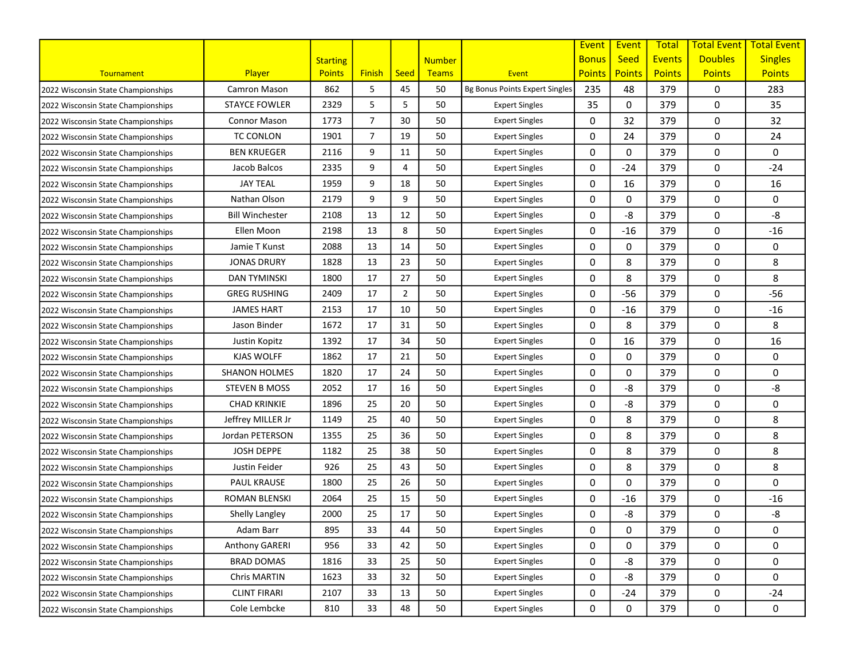|                                    |                        |                 |                |                |               |                                | Event         | Event         | <b>Total</b>  | <b>Total Event</b> | <b>Total Event</b> |
|------------------------------------|------------------------|-----------------|----------------|----------------|---------------|--------------------------------|---------------|---------------|---------------|--------------------|--------------------|
|                                    |                        | <b>Starting</b> |                |                | <b>Number</b> |                                | <b>Bonus</b>  | <b>Seed</b>   | <b>Events</b> | <b>Doubles</b>     | <b>Singles</b>     |
| Tournament                         | <b>Player</b>          | <b>Points</b>   | <b>Finish</b>  | <b>Seed</b>    | Teams         | Event                          | <b>Points</b> | <b>Points</b> | <b>Points</b> | <b>Points</b>      | <b>Points</b>      |
| 2022 Wisconsin State Championships | Camron Mason           | 862             | 5              | 45             | 50            | Bg Bonus Points Expert Singles | 235           | 48            | 379           | 0                  | 283                |
| 2022 Wisconsin State Championships | <b>STAYCE FOWLER</b>   | 2329            | 5              | 5              | 50            | <b>Expert Singles</b>          | 35            | 0             | 379           | 0                  | 35                 |
| 2022 Wisconsin State Championships | <b>Connor Mason</b>    | 1773            | $\overline{7}$ | 30             | 50            | <b>Expert Singles</b>          | 0             | 32            | 379           | 0                  | 32                 |
| 2022 Wisconsin State Championships | <b>TC CONLON</b>       | 1901            | $\overline{7}$ | 19             | 50            | <b>Expert Singles</b>          | 0             | 24            | 379           | 0                  | 24                 |
| 2022 Wisconsin State Championships | <b>BEN KRUEGER</b>     | 2116            | 9              | 11             | 50            | <b>Expert Singles</b>          | 0             | 0             | 379           | 0                  | 0                  |
| 2022 Wisconsin State Championships | Jacob Balcos           | 2335            | 9              | 4              | 50            | <b>Expert Singles</b>          | 0             | $-24$         | 379           | 0                  | $-24$              |
| 2022 Wisconsin State Championships | <b>JAY TEAL</b>        | 1959            | 9              | 18             | 50            | <b>Expert Singles</b>          | 0             | 16            | 379           | 0                  | 16                 |
| 2022 Wisconsin State Championships | Nathan Olson           | 2179            | 9              | 9              | 50            | <b>Expert Singles</b>          | 0             | 0             | 379           | 0                  | 0                  |
| 2022 Wisconsin State Championships | <b>Bill Winchester</b> | 2108            | 13             | 12             | 50            | <b>Expert Singles</b>          | 0             | -8            | 379           | 0                  | -8                 |
| 2022 Wisconsin State Championships | Ellen Moon             | 2198            | 13             | 8              | 50            | <b>Expert Singles</b>          | 0             | $-16$         | 379           | 0                  | $-16$              |
| 2022 Wisconsin State Championships | Jamie T Kunst          | 2088            | 13             | 14             | 50            | <b>Expert Singles</b>          | 0             | 0             | 379           | 0                  | 0                  |
| 2022 Wisconsin State Championships | <b>JONAS DRURY</b>     | 1828            | 13             | 23             | 50            | <b>Expert Singles</b>          | 0             | 8             | 379           | 0                  | 8                  |
| 2022 Wisconsin State Championships | <b>DAN TYMINSKI</b>    | 1800            | 17             | 27             | 50            | <b>Expert Singles</b>          | 0             | 8             | 379           | 0                  | 8                  |
| 2022 Wisconsin State Championships | <b>GREG RUSHING</b>    | 2409            | 17             | $\overline{2}$ | 50            | <b>Expert Singles</b>          | 0             | $-56$         | 379           | 0                  | -56                |
| 2022 Wisconsin State Championships | <b>JAMES HART</b>      | 2153            | 17             | 10             | 50            | <b>Expert Singles</b>          | 0             | $-16$         | 379           | 0                  | $-16$              |
| 2022 Wisconsin State Championships | Jason Binder           | 1672            | 17             | 31             | 50            | <b>Expert Singles</b>          | 0             | 8             | 379           | 0                  | 8                  |
| 2022 Wisconsin State Championships | Justin Kopitz          | 1392            | 17             | 34             | 50            | <b>Expert Singles</b>          | 0             | 16            | 379           | 0                  | 16                 |
| 2022 Wisconsin State Championships | KJAS WOLFF             | 1862            | 17             | 21             | 50            | <b>Expert Singles</b>          | 0             | 0             | 379           | 0                  | 0                  |
| 2022 Wisconsin State Championships | SHANON HOLMES          | 1820            | 17             | 24             | 50            | <b>Expert Singles</b>          | 0             | $\mathbf 0$   | 379           | 0                  | 0                  |
| 2022 Wisconsin State Championships | <b>STEVEN B MOSS</b>   | 2052            | 17             | 16             | 50            | <b>Expert Singles</b>          | 0             | -8            | 379           | 0                  | -8                 |
| 2022 Wisconsin State Championships | <b>CHAD KRINKIE</b>    | 1896            | 25             | 20             | 50            | <b>Expert Singles</b>          | 0             | -8            | 379           | 0                  | 0                  |
| 2022 Wisconsin State Championships | Jeffrey MILLER Jr      | 1149            | 25             | 40             | 50            | <b>Expert Singles</b>          | 0             | 8             | 379           | 0                  | 8                  |
| 2022 Wisconsin State Championships | Jordan PETERSON        | 1355            | 25             | 36             | 50            | <b>Expert Singles</b>          | 0             | 8             | 379           | 0                  | 8                  |
| 2022 Wisconsin State Championships | <b>JOSH DEPPE</b>      | 1182            | 25             | 38             | 50            | <b>Expert Singles</b>          | 0             | 8             | 379           | 0                  | 8                  |
| 2022 Wisconsin State Championships | Justin Feider          | 926             | 25             | 43             | 50            | <b>Expert Singles</b>          | 0             | 8             | 379           | 0                  | 8                  |
| 2022 Wisconsin State Championships | <b>PAUL KRAUSE</b>     | 1800            | 25             | 26             | 50            | <b>Expert Singles</b>          | 0             | $\Omega$      | 379           | 0                  | 0                  |
| 2022 Wisconsin State Championships | <b>ROMAN BLENSKI</b>   | 2064            | 25             | 15             | 50            | <b>Expert Singles</b>          | 0             | $-16$         | 379           | 0                  | $-16$              |
| 2022 Wisconsin State Championships | Shelly Langley         | 2000            | 25             | 17             | 50            | <b>Expert Singles</b>          | 0             | -8            | 379           | 0                  | -8                 |
| 2022 Wisconsin State Championships | Adam Barr              | 895             | 33             | 44             | 50            | <b>Expert Singles</b>          | 0             | 0             | 379           | 0                  | 0                  |
| 2022 Wisconsin State Championships | Anthony GARERI         | 956             | 33             | 42             | 50            | <b>Expert Singles</b>          | 0             | 0             | 379           | 0                  | 0                  |
| 2022 Wisconsin State Championships | <b>BRAD DOMAS</b>      | 1816            | 33             | 25             | 50            | <b>Expert Singles</b>          | 0             | -8            | 379           | 0                  | 0                  |
| 2022 Wisconsin State Championships | Chris MARTIN           | 1623            | 33             | 32             | 50            | <b>Expert Singles</b>          | 0             | -8            | 379           | 0                  | 0                  |
| 2022 Wisconsin State Championships | <b>CLINT FIRARI</b>    | 2107            | 33             | 13             | 50            | <b>Expert Singles</b>          | 0             | $-24$         | 379           | 0                  | $-24$              |
| 2022 Wisconsin State Championships | Cole Lembcke           | 810             | 33             | 48             | 50            | <b>Expert Singles</b>          | 0             | 0             | 379           | 0                  | 0                  |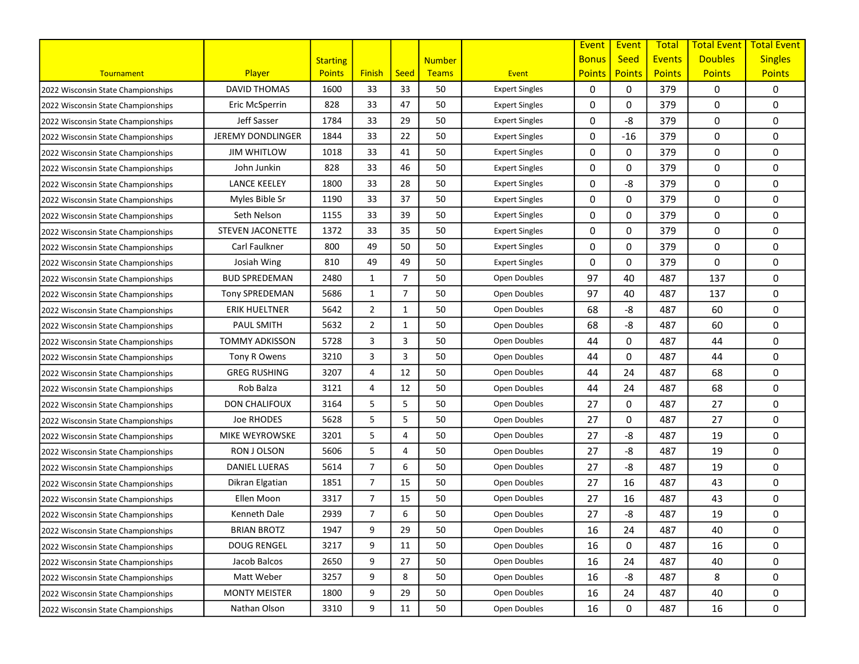|                                    |                          |                 |                |                |               |                       | Event         | Event         | <b>Total</b>  | <b>Total Event</b> | <b>Total Event</b> |
|------------------------------------|--------------------------|-----------------|----------------|----------------|---------------|-----------------------|---------------|---------------|---------------|--------------------|--------------------|
|                                    |                          | <b>Starting</b> |                |                | <b>Number</b> |                       | <b>Bonus</b>  | <b>Seed</b>   | <b>Events</b> | <b>Doubles</b>     | <b>Singles</b>     |
| Tournament                         | Player                   | <b>Points</b>   | <b>Finish</b>  | <b>Seed</b>    | <b>Teams</b>  | Event                 | <b>Points</b> | <b>Points</b> | <b>Points</b> | <b>Points</b>      | <b>Points</b>      |
| 2022 Wisconsin State Championships | <b>DAVID THOMAS</b>      | 1600            | 33             | 33             | 50            | <b>Expert Singles</b> | 0             | $\Omega$      | 379           | 0                  | 0                  |
| 2022 Wisconsin State Championships | Eric McSperrin           | 828             | 33             | 47             | 50            | <b>Expert Singles</b> | 0             | 0             | 379           | 0                  | 0                  |
| 2022 Wisconsin State Championships | Jeff Sasser              | 1784            | 33             | 29             | 50            | <b>Expert Singles</b> | 0             | -8            | 379           | 0                  | 0                  |
| 2022 Wisconsin State Championships | <b>JEREMY DONDLINGER</b> | 1844            | 33             | 22             | 50            | <b>Expert Singles</b> | 0             | $-16$         | 379           | 0                  | 0                  |
| 2022 Wisconsin State Championships | <b>JIM WHITLOW</b>       | 1018            | 33             | 41             | 50            | <b>Expert Singles</b> | 0             | 0             | 379           | 0                  | 0                  |
| 2022 Wisconsin State Championships | John Junkin              | 828             | 33             | 46             | 50            | <b>Expert Singles</b> | 0             | $\Omega$      | 379           | 0                  | 0                  |
| 2022 Wisconsin State Championships | <b>LANCE KEELEY</b>      | 1800            | 33             | 28             | 50            | <b>Expert Singles</b> | 0             | -8            | 379           | 0                  | 0                  |
| 2022 Wisconsin State Championships | Myles Bible Sr           | 1190            | 33             | 37             | 50            | <b>Expert Singles</b> | 0             | 0             | 379           | 0                  | 0                  |
| 2022 Wisconsin State Championships | Seth Nelson              | 1155            | 33             | 39             | 50            | <b>Expert Singles</b> | 0             | 0             | 379           | 0                  | 0                  |
| 2022 Wisconsin State Championships | <b>STEVEN JACONETTE</b>  | 1372            | 33             | 35             | 50            | <b>Expert Singles</b> | 0             | 0             | 379           | 0                  | 0                  |
| 2022 Wisconsin State Championships | Carl Faulkner            | 800             | 49             | 50             | 50            | <b>Expert Singles</b> | 0             | 0             | 379           | 0                  | 0                  |
| 2022 Wisconsin State Championships | Josiah Wing              | 810             | 49             | 49             | 50            | <b>Expert Singles</b> | 0             | 0             | 379           | 0                  | 0                  |
| 2022 Wisconsin State Championships | <b>BUD SPREDEMAN</b>     | 2480            | 1              | $\overline{7}$ | 50            | Open Doubles          | 97            | 40            | 487           | 137                | 0                  |
| 2022 Wisconsin State Championships | <b>Tony SPREDEMAN</b>    | 5686            | 1              | $\overline{7}$ | 50            | Open Doubles          | 97            | 40            | 487           | 137                | 0                  |
| 2022 Wisconsin State Championships | <b>ERIK HUELTNER</b>     | 5642            | $\overline{2}$ | 1              | 50            | Open Doubles          | 68            | -8            | 487           | 60                 | 0                  |
| 2022 Wisconsin State Championships | <b>PAUL SMITH</b>        | 5632            | $\overline{2}$ | 1              | 50            | Open Doubles          | 68            | -8            | 487           | 60                 | 0                  |
| 2022 Wisconsin State Championships | <b>TOMMY ADKISSON</b>    | 5728            | 3              | 3              | 50            | Open Doubles          | 44            | 0             | 487           | 44                 | 0                  |
| 2022 Wisconsin State Championships | Tony R Owens             | 3210            | 3              | 3              | 50            | Open Doubles          | 44            | $\Omega$      | 487           | 44                 | 0                  |
| 2022 Wisconsin State Championships | GREG RUSHING             | 3207            | 4              | 12             | 50            | Open Doubles          | 44            | 24            | 487           | 68                 | 0                  |
| 2022 Wisconsin State Championships | Rob Balza                | 3121            | 4              | 12             | 50            | Open Doubles          | 44            | 24            | 487           | 68                 | 0                  |
| 2022 Wisconsin State Championships | <b>DON CHALIFOUX</b>     | 3164            | 5              | 5              | 50            | Open Doubles          | 27            | 0             | 487           | 27                 | 0                  |
| 2022 Wisconsin State Championships | Joe RHODES               | 5628            | 5              | 5              | 50            | Open Doubles          | 27            | 0             | 487           | 27                 | 0                  |
| 2022 Wisconsin State Championships | MIKE WEYROWSKE           | 3201            | 5              | 4              | 50            | Open Doubles          | 27            | -8            | 487           | 19                 | 0                  |
| 2022 Wisconsin State Championships | RON J OLSON              | 5606            | 5              | 4              | 50            | Open Doubles          | 27            | -8            | 487           | 19                 | 0                  |
| 2022 Wisconsin State Championships | <b>DANIEL LUERAS</b>     | 5614            | $\overline{7}$ | 6              | 50            | Open Doubles          | 27            | -8            | 487           | 19                 | 0                  |
| 2022 Wisconsin State Championships | Dikran Elgatian          | 1851            | $\overline{7}$ | 15             | 50            | Open Doubles          | 27            | 16            | 487           | 43                 | 0                  |
| 2022 Wisconsin State Championships | Ellen Moon               | 3317            | $\overline{7}$ | 15             | 50            | Open Doubles          | 27            | 16            | 487           | 43                 | 0                  |
| 2022 Wisconsin State Championships | Kenneth Dale             | 2939            | $\overline{7}$ | 6              | 50            | Open Doubles          | 27            | -8            | 487           | 19                 | 0                  |
| 2022 Wisconsin State Championships | <b>BRIAN BROTZ</b>       | 1947            | 9              | 29             | 50            | Open Doubles          | 16            | 24            | 487           | 40                 | 0                  |
| 2022 Wisconsin State Championships | <b>DOUG RENGEL</b>       | 3217            | 9              | 11             | 50            | Open Doubles          | 16            | 0             | 487           | 16                 | 0                  |
| 2022 Wisconsin State Championships | Jacob Balcos             | 2650            | 9              | 27             | 50            | Open Doubles          | 16            | 24            | 487           | 40                 | 0                  |
| 2022 Wisconsin State Championships | Matt Weber               | 3257            | 9              | 8              | 50            | Open Doubles          | 16            | -8            | 487           | 8                  | 0                  |
| 2022 Wisconsin State Championships | <b>MONTY MEISTER</b>     | 1800            | 9              | 29             | 50            | Open Doubles          | 16            | 24            | 487           | 40                 | 0                  |
| 2022 Wisconsin State Championships | Nathan Olson             | 3310            | 9              | 11             | 50            | Open Doubles          | 16            | 0             | 487           | 16                 | 0                  |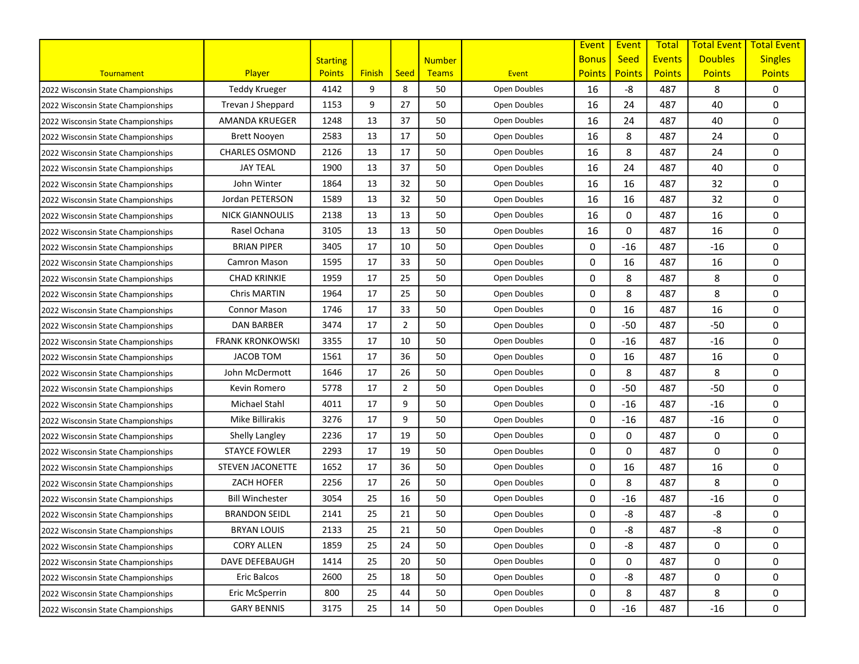|                                    |                         |                 |               |                |               |              | Event         | Event         | <b>Total</b>  | <b>Total Event</b> | <b>Total Event</b> |
|------------------------------------|-------------------------|-----------------|---------------|----------------|---------------|--------------|---------------|---------------|---------------|--------------------|--------------------|
|                                    |                         | <b>Starting</b> |               |                | <b>Number</b> |              | <b>Bonus</b>  | <b>Seed</b>   | <b>Events</b> | <b>Doubles</b>     | <b>Singles</b>     |
| Tournament                         | Player                  | <b>Points</b>   | <b>Finish</b> | <b>Seed</b>    | Teams         | Event        | <b>Points</b> | <b>Points</b> | <b>Points</b> | <b>Points</b>      | <b>Points</b>      |
| 2022 Wisconsin State Championships | <b>Teddy Krueger</b>    | 4142            | 9             | 8              | 50            | Open Doubles | 16            | -8            | 487           | 8                  | 0                  |
| 2022 Wisconsin State Championships | Trevan J Sheppard       | 1153            | 9             | 27             | 50            | Open Doubles | 16            | 24            | 487           | 40                 | 0                  |
| 2022 Wisconsin State Championships | AMANDA KRUEGER          | 1248            | 13            | 37             | 50            | Open Doubles | 16            | 24            | 487           | 40                 | 0                  |
| 2022 Wisconsin State Championships | <b>Brett Nooyen</b>     | 2583            | 13            | 17             | 50            | Open Doubles | 16            | 8             | 487           | 24                 | 0                  |
| 2022 Wisconsin State Championships | <b>CHARLES OSMOND</b>   | 2126            | 13            | 17             | 50            | Open Doubles | 16            | 8             | 487           | 24                 | 0                  |
| 2022 Wisconsin State Championships | <b>JAY TEAL</b>         | 1900            | 13            | 37             | 50            | Open Doubles | 16            | 24            | 487           | 40                 | 0                  |
| 2022 Wisconsin State Championships | John Winter             | 1864            | 13            | 32             | 50            | Open Doubles | 16            | 16            | 487           | 32                 | 0                  |
| 2022 Wisconsin State Championships | Jordan PETERSON         | 1589            | 13            | 32             | 50            | Open Doubles | 16            | 16            | 487           | 32                 | 0                  |
| 2022 Wisconsin State Championships | <b>NICK GIANNOULIS</b>  | 2138            | 13            | 13             | 50            | Open Doubles | 16            | 0             | 487           | 16                 | 0                  |
| 2022 Wisconsin State Championships | Rasel Ochana            | 3105            | 13            | 13             | 50            | Open Doubles | 16            | 0             | 487           | 16                 | 0                  |
| 2022 Wisconsin State Championships | <b>BRIAN PIPER</b>      | 3405            | 17            | 10             | 50            | Open Doubles | 0             | $-16$         | 487           | $-16$              | 0                  |
| 2022 Wisconsin State Championships | Camron Mason            | 1595            | 17            | 33             | 50            | Open Doubles | 0             | 16            | 487           | 16                 | 0                  |
| 2022 Wisconsin State Championships | <b>CHAD KRINKIE</b>     | 1959            | 17            | 25             | 50            | Open Doubles | 0             | 8             | 487           | 8                  | 0                  |
| 2022 Wisconsin State Championships | Chris MARTIN            | 1964            | 17            | 25             | 50            | Open Doubles | 0             | 8             | 487           | 8                  | 0                  |
| 2022 Wisconsin State Championships | <b>Connor Mason</b>     | 1746            | 17            | 33             | 50            | Open Doubles | 0             | 16            | 487           | 16                 | 0                  |
| 2022 Wisconsin State Championships | <b>DAN BARBER</b>       | 3474            | 17            | $\overline{2}$ | 50            | Open Doubles | 0             | $-50$         | 487           | $-50$              | 0                  |
| 2022 Wisconsin State Championships | <b>FRANK KRONKOWSKI</b> | 3355            | 17            | 10             | 50            | Open Doubles | 0             | $-16$         | 487           | $-16$              | 0                  |
| 2022 Wisconsin State Championships | <b>JACOB TOM</b>        | 1561            | 17            | 36             | 50            | Open Doubles | 0             | 16            | 487           | 16                 | 0                  |
| 2022 Wisconsin State Championships | John McDermott          | 1646            | 17            | 26             | 50            | Open Doubles | 0             | 8             | 487           | 8                  | 0                  |
| 2022 Wisconsin State Championships | Kevin Romero            | 5778            | 17            | $\overline{2}$ | 50            | Open Doubles | 0             | $-50$         | 487           | $-50$              | 0                  |
| 2022 Wisconsin State Championships | Michael Stahl           | 4011            | 17            | 9              | 50            | Open Doubles | 0             | $-16$         | 487           | $-16$              | 0                  |
| 2022 Wisconsin State Championships | Mike Billirakis         | 3276            | 17            | 9              | 50            | Open Doubles | 0             | $-16$         | 487           | $-16$              | 0                  |
| 2022 Wisconsin State Championships | Shelly Langley          | 2236            | 17            | 19             | 50            | Open Doubles | 0             | 0             | 487           | 0                  | 0                  |
| 2022 Wisconsin State Championships | <b>STAYCE FOWLER</b>    | 2293            | 17            | 19             | 50            | Open Doubles | 0             | 0             | 487           | 0                  | 0                  |
| 2022 Wisconsin State Championships | <b>STEVEN JACONETTE</b> | 1652            | 17            | 36             | 50            | Open Doubles | 0             | 16            | 487           | 16                 | 0                  |
| 2022 Wisconsin State Championships | ZACH HOFER              | 2256            | 17            | 26             | 50            | Open Doubles | 0             | 8             | 487           | 8                  | 0                  |
| 2022 Wisconsin State Championships | <b>Bill Winchester</b>  | 3054            | 25            | 16             | 50            | Open Doubles | 0             | $-16$         | 487           | $-16$              | 0                  |
| 2022 Wisconsin State Championships | <b>BRANDON SEIDL</b>    | 2141            | 25            | 21             | 50            | Open Doubles | 0             | -8            | 487           | -8                 | 0                  |
| 2022 Wisconsin State Championships | <b>BRYAN LOUIS</b>      | 2133            | 25            | 21             | 50            | Open Doubles | 0             | -8            | 487           | -8                 | 0                  |
| 2022 Wisconsin State Championships | <b>CORY ALLEN</b>       | 1859            | 25            | 24             | 50            | Open Doubles | 0             | -8            | 487           | 0                  | 0                  |
| 2022 Wisconsin State Championships | DAVE DEFEBAUGH          | 1414            | 25            | 20             | 50            | Open Doubles | 0             | 0             | 487           | 0                  | 0                  |
| 2022 Wisconsin State Championships | Eric Balcos             | 2600            | 25            | 18             | 50            | Open Doubles | 0             | -8            | 487           | 0                  | 0                  |
| 2022 Wisconsin State Championships | Eric McSperrin          | 800             | 25            | 44             | 50            | Open Doubles | 0             | 8             | 487           | 8                  | 0                  |
| 2022 Wisconsin State Championships | <b>GARY BENNIS</b>      | 3175            | 25            | 14             | 50            | Open Doubles | 0             | $-16$         | 487           | $-16$              | 0                  |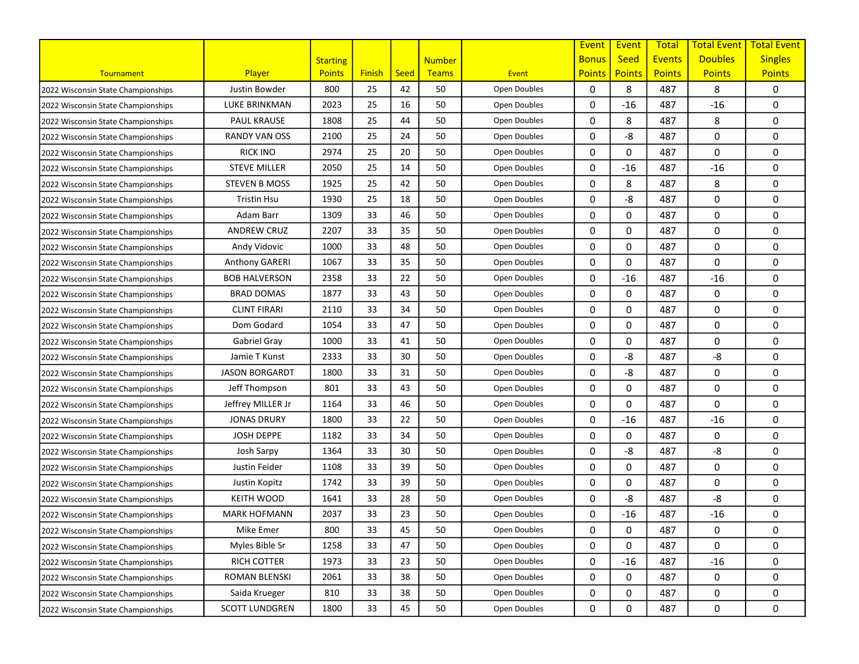|                                    |                       |                 |               |             |               |              | Event         | Event         | <b>Total</b>  | <b>Total Event</b> | <b>Total Event</b> |
|------------------------------------|-----------------------|-----------------|---------------|-------------|---------------|--------------|---------------|---------------|---------------|--------------------|--------------------|
|                                    |                       | <b>Starting</b> |               |             | <b>Number</b> |              | <b>Bonus</b>  | <b>Seed</b>   | <b>Events</b> | <b>Doubles</b>     | <b>Singles</b>     |
| Tournament                         | Player                | <b>Points</b>   | <b>Finish</b> | <b>Seed</b> | Teams         | Event        | <b>Points</b> | <b>Points</b> | <b>Points</b> | <b>Points</b>      | <b>Points</b>      |
| 2022 Wisconsin State Championships | Justin Bowder         | 800             | 25            | 42          | 50            | Open Doubles | 0             | 8             | 487           | 8                  | 0                  |
| 2022 Wisconsin State Championships | LUKE BRINKMAN         | 2023            | 25            | 16          | 50            | Open Doubles | 0             | $-16$         | 487           | $-16$              | 0                  |
| 2022 Wisconsin State Championships | <b>PAUL KRAUSE</b>    | 1808            | 25            | 44          | 50            | Open Doubles | 0             | 8             | 487           | 8                  | 0                  |
| 2022 Wisconsin State Championships | <b>RANDY VAN OSS</b>  | 2100            | 25            | 24          | 50            | Open Doubles | 0             | -8            | 487           | 0                  | 0                  |
| 2022 Wisconsin State Championships | <b>RICK INO</b>       | 2974            | 25            | 20          | 50            | Open Doubles | 0             | 0             | 487           | 0                  | 0                  |
| 2022 Wisconsin State Championships | <b>STEVE MILLER</b>   | 2050            | 25            | 14          | 50            | Open Doubles | 0             | $-16$         | 487           | $-16$              | 0                  |
| 2022 Wisconsin State Championships | <b>STEVEN B MOSS</b>  | 1925            | 25            | 42          | 50            | Open Doubles | 0             | 8             | 487           | 8                  | 0                  |
| 2022 Wisconsin State Championships | Tristin Hsu           | 1930            | 25            | 18          | 50            | Open Doubles | 0             | -8            | 487           | 0                  | 0                  |
| 2022 Wisconsin State Championships | Adam Barr             | 1309            | 33            | 46          | 50            | Open Doubles | 0             | 0             | 487           | 0                  | 0                  |
| 2022 Wisconsin State Championships | <b>ANDREW CRUZ</b>    | 2207            | 33            | 35          | 50            | Open Doubles | 0             | 0             | 487           | 0                  | 0                  |
| 2022 Wisconsin State Championships | Andy Vidovic          | 1000            | 33            | 48          | 50            | Open Doubles | 0             | 0             | 487           | 0                  | 0                  |
| 2022 Wisconsin State Championships | Anthony GARERI        | 1067            | 33            | 35          | 50            | Open Doubles | 0             | 0             | 487           | 0                  | 0                  |
| 2022 Wisconsin State Championships | <b>BOB HALVERSON</b>  | 2358            | 33            | 22          | 50            | Open Doubles | 0             | $-16$         | 487           | $-16$              | 0                  |
| 2022 Wisconsin State Championships | <b>BRAD DOMAS</b>     | 1877            | 33            | 43          | 50            | Open Doubles | 0             | 0             | 487           | 0                  | 0                  |
| 2022 Wisconsin State Championships | <b>CLINT FIRARI</b>   | 2110            | 33            | 34          | 50            | Open Doubles | 0             | 0             | 487           | 0                  | 0                  |
| 2022 Wisconsin State Championships | Dom Godard            | 1054            | 33            | 47          | 50            | Open Doubles | 0             | 0             | 487           | 0                  | 0                  |
| 2022 Wisconsin State Championships | Gabriel Gray          | 1000            | 33            | 41          | 50            | Open Doubles | 0             | 0             | 487           | 0                  | 0                  |
| 2022 Wisconsin State Championships | Jamie T Kunst         | 2333            | 33            | 30          | 50            | Open Doubles | 0             | -8            | 487           | -8                 | 0                  |
| 2022 Wisconsin State Championships | <b>JASON BORGARDT</b> | 1800            | 33            | 31          | 50            | Open Doubles | 0             | -8            | 487           | 0                  | 0                  |
| 2022 Wisconsin State Championships | Jeff Thompson         | 801             | 33            | 43          | 50            | Open Doubles | 0             | 0             | 487           | 0                  | 0                  |
| 2022 Wisconsin State Championships | Jeffrey MILLER Jr     | 1164            | 33            | 46          | 50            | Open Doubles | 0             | 0             | 487           | 0                  | 0                  |
| 2022 Wisconsin State Championships | <b>JONAS DRURY</b>    | 1800            | 33            | 22          | 50            | Open Doubles | 0             | $-16$         | 487           | $-16$              | 0                  |
| 2022 Wisconsin State Championships | <b>JOSH DEPPE</b>     | 1182            | 33            | 34          | 50            | Open Doubles | 0             | 0             | 487           | 0                  | 0                  |
| 2022 Wisconsin State Championships | Josh Sarpy            | 1364            | 33            | 30          | 50            | Open Doubles | 0             | -8            | 487           | -8                 | 0                  |
| 2022 Wisconsin State Championships | Justin Feider         | 1108            | 33            | 39          | 50            | Open Doubles | 0             | 0             | 487           | 0                  | 0                  |
| 2022 Wisconsin State Championships | Justin Kopitz         | 1742            | 33            | 39          | 50            | Open Doubles | 0             | $\mathbf 0$   | 487           | 0                  | 0                  |
| 2022 Wisconsin State Championships | <b>KEITH WOOD</b>     | 1641            | 33            | 28          | 50            | Open Doubles | 0             | -8            | 487           | -8                 | 0                  |
| 2022 Wisconsin State Championships | <b>MARK HOFMANN</b>   | 2037            | 33            | 23          | 50            | Open Doubles | 0             | $-16$         | 487           | $-16$              | 0                  |
| 2022 Wisconsin State Championships | Mike Emer             | 800             | 33            | 45          | 50            | Open Doubles | 0             | 0             | 487           | 0                  | 0                  |
| 2022 Wisconsin State Championships | Myles Bible Sr        | 1258            | 33            | 47          | 50            | Open Doubles | 0             | 0             | 487           | 0                  | 0                  |
| 2022 Wisconsin State Championships | RICH COTTER           | 1973            | 33            | 23          | 50            | Open Doubles | 0             | $-16$         | 487           | $-16$              | 0                  |
| 2022 Wisconsin State Championships | <b>ROMAN BLENSKI</b>  | 2061            | 33            | 38          | 50            | Open Doubles | 0             | 0             | 487           | 0                  | 0                  |
| 2022 Wisconsin State Championships | Saida Krueger         | 810             | 33            | 38          | 50            | Open Doubles | 0             | 0             | 487           | 0                  | 0                  |
| 2022 Wisconsin State Championships | <b>SCOTT LUNDGREN</b> | 1800            | 33            | 45          | 50            | Open Doubles | 0             | 0             | 487           | 0                  | 0                  |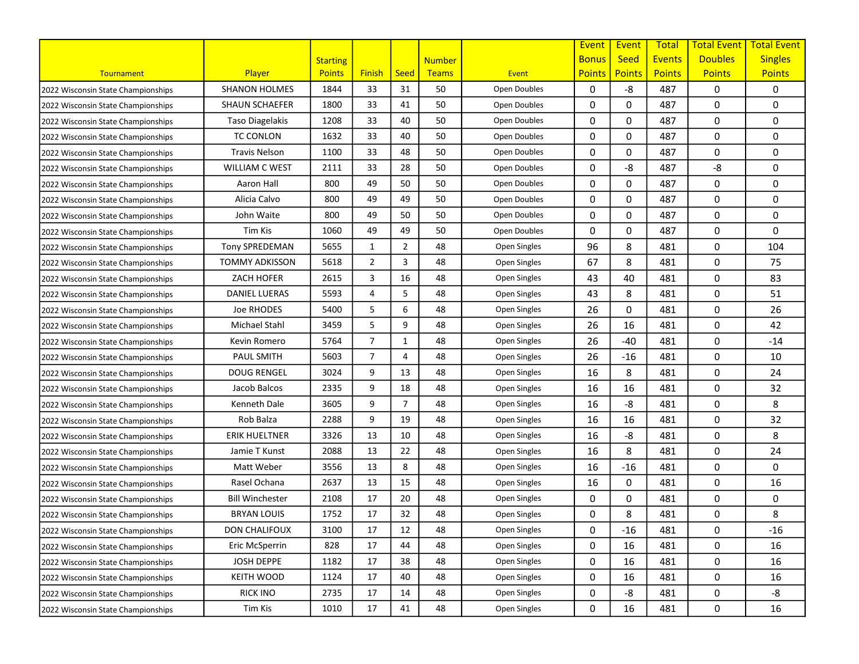|                                    |                        |                 |                |                |               |              | Event         | Event         | <b>Total</b>  | <b>Total Event</b> | <b>Total Event</b> |
|------------------------------------|------------------------|-----------------|----------------|----------------|---------------|--------------|---------------|---------------|---------------|--------------------|--------------------|
|                                    |                        | <b>Starting</b> |                |                | <b>Number</b> |              | <b>Bonus</b>  | <b>Seed</b>   | <b>Events</b> | <b>Doubles</b>     | <b>Singles</b>     |
| Tournament                         | Player                 | <b>Points</b>   | <b>Finish</b>  | <b>Seed</b>    | Teams         | Event        | <b>Points</b> | <b>Points</b> | <b>Points</b> | <b>Points</b>      | <b>Points</b>      |
| 2022 Wisconsin State Championships | <b>SHANON HOLMES</b>   | 1844            | 33             | 31             | 50            | Open Doubles | 0             | -8            | 487           | 0                  | 0                  |
| 2022 Wisconsin State Championships | <b>SHAUN SCHAEFER</b>  | 1800            | 33             | 41             | 50            | Open Doubles | 0             | 0             | 487           | 0                  | 0                  |
| 2022 Wisconsin State Championships | Taso Diagelakis        | 1208            | 33             | 40             | 50            | Open Doubles | 0             | 0             | 487           | 0                  | 0                  |
| 2022 Wisconsin State Championships | <b>TC CONLON</b>       | 1632            | 33             | 40             | 50            | Open Doubles | 0             | 0             | 487           | 0                  | 0                  |
| 2022 Wisconsin State Championships | <b>Travis Nelson</b>   | 1100            | 33             | 48             | 50            | Open Doubles | 0             | 0             | 487           | 0                  | 0                  |
| 2022 Wisconsin State Championships | <b>WILLIAM C WEST</b>  | 2111            | 33             | 28             | 50            | Open Doubles | 0             | -8            | 487           | -8                 | 0                  |
| 2022 Wisconsin State Championships | Aaron Hall             | 800             | 49             | 50             | 50            | Open Doubles | 0             | 0             | 487           | 0                  | 0                  |
| 2022 Wisconsin State Championships | Alicia Calvo           | 800             | 49             | 49             | 50            | Open Doubles | 0             | $\Omega$      | 487           | 0                  | 0                  |
| 2022 Wisconsin State Championships | John Waite             | 800             | 49             | 50             | 50            | Open Doubles | 0             | 0             | 487           | 0                  | 0                  |
| 2022 Wisconsin State Championships | <b>Tim Kis</b>         | 1060            | 49             | 49             | 50            | Open Doubles | 0             | 0             | 487           | 0                  | 0                  |
| 2022 Wisconsin State Championships | Tony SPREDEMAN         | 5655            | 1              | $\overline{2}$ | 48            | Open Singles | 96            | 8             | 481           | 0                  | 104                |
| 2022 Wisconsin State Championships | <b>TOMMY ADKISSON</b>  | 5618            | $\overline{2}$ | 3              | 48            | Open Singles | 67            | 8             | 481           | 0                  | 75                 |
| 2022 Wisconsin State Championships | <b>ZACH HOFER</b>      | 2615            | 3              | 16             | 48            | Open Singles | 43            | 40            | 481           | 0                  | 83                 |
| 2022 Wisconsin State Championships | <b>DANIEL LUERAS</b>   | 5593            | 4              | 5              | 48            | Open Singles | 43            | 8             | 481           | 0                  | 51                 |
| 2022 Wisconsin State Championships | Joe RHODES             | 5400            | 5              | 6              | 48            | Open Singles | 26            | 0             | 481           | 0                  | 26                 |
| 2022 Wisconsin State Championships | Michael Stahl          | 3459            | 5              | 9              | 48            | Open Singles | 26            | 16            | 481           | 0                  | 42                 |
| 2022 Wisconsin State Championships | Kevin Romero           | 5764            | $\overline{7}$ | 1              | 48            | Open Singles | 26            | $-40$         | 481           | 0                  | $-14$              |
| 2022 Wisconsin State Championships | <b>PAUL SMITH</b>      | 5603            | $\overline{7}$ | 4              | 48            | Open Singles | 26            | $-16$         | 481           | 0                  | 10                 |
| 2022 Wisconsin State Championships | <b>DOUG RENGEL</b>     | 3024            | 9              | 13             | 48            | Open Singles | 16            | 8             | 481           | 0                  | 24                 |
| 2022 Wisconsin State Championships | Jacob Balcos           | 2335            | 9              | 18             | 48            | Open Singles | 16            | 16            | 481           | 0                  | 32                 |
| 2022 Wisconsin State Championships | Kenneth Dale           | 3605            | 9              | $\overline{7}$ | 48            | Open Singles | 16            | -8            | 481           | 0                  | 8                  |
| 2022 Wisconsin State Championships | Rob Balza              | 2288            | 9              | 19             | 48            | Open Singles | 16            | 16            | 481           | 0                  | 32                 |
| 2022 Wisconsin State Championships | <b>ERIK HUELTNER</b>   | 3326            | 13             | 10             | 48            | Open Singles | 16            | -8            | 481           | 0                  | 8                  |
| 2022 Wisconsin State Championships | Jamie T Kunst          | 2088            | 13             | 22             | 48            | Open Singles | 16            | 8             | 481           | 0                  | 24                 |
| 2022 Wisconsin State Championships | Matt Weber             | 3556            | 13             | 8              | 48            | Open Singles | 16            | $-16$         | 481           | 0                  | 0                  |
| 2022 Wisconsin State Championships | Rasel Ochana           | 2637            | 13             | 15             | 48            | Open Singles | 16            | 0             | 481           | 0                  | 16                 |
| 2022 Wisconsin State Championships | <b>Bill Winchester</b> | 2108            | 17             | 20             | 48            | Open Singles | 0             | 0             | 481           | 0                  | 0                  |
| 2022 Wisconsin State Championships | <b>BRYAN LOUIS</b>     | 1752            | 17             | 32             | 48            | Open Singles | 0             | 8             | 481           | 0                  | 8                  |
| 2022 Wisconsin State Championships | <b>DON CHALIFOUX</b>   | 3100            | 17             | 12             | 48            | Open Singles | 0             | $-16$         | 481           | 0                  | $-16$              |
| 2022 Wisconsin State Championships | Eric McSperrin         | 828             | 17             | 44             | 48            | Open Singles | 0             | 16            | 481           | 0                  | 16                 |
| 2022 Wisconsin State Championships | JOSH DEPPE             | 1182            | 17             | 38             | 48            | Open Singles | 0             | 16            | 481           | 0                  | 16                 |
| 2022 Wisconsin State Championships | <b>KEITH WOOD</b>      | 1124            | 17             | 40             | 48            | Open Singles | 0             | 16            | 481           | 0                  | 16                 |
| 2022 Wisconsin State Championships | <b>RICK INO</b>        | 2735            | 17             | 14             | 48            | Open Singles | 0             | -8            | 481           | 0                  | -8                 |
| 2022 Wisconsin State Championships | Tim Kis                | 1010            | 17             | 41             | 48            | Open Singles | 0             | 16            | 481           | 0                  | 16                 |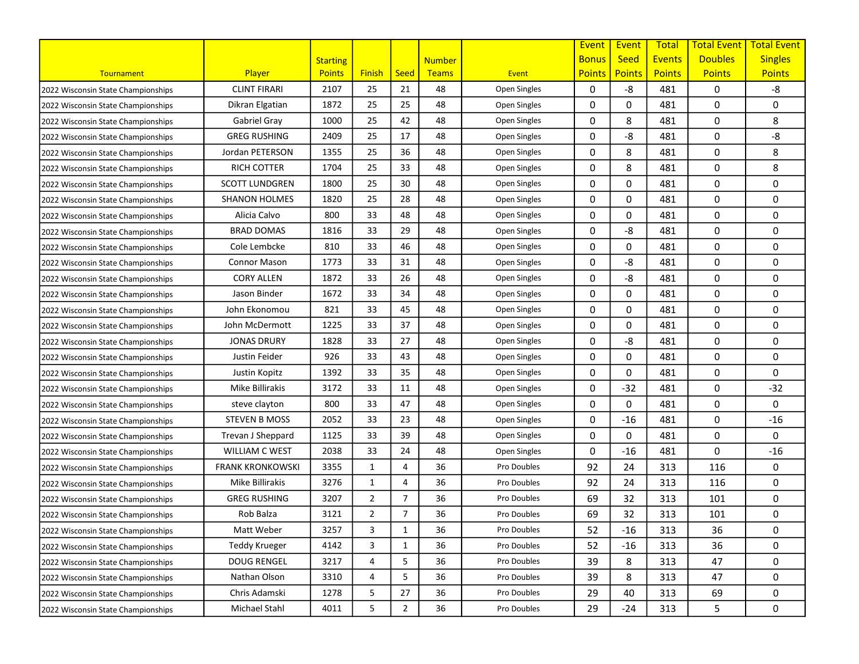|                                    |                         |                 |                |                |               |              | Event         | Event         | <b>Total</b>  | <b>Total Event</b> | <b>Total Event</b> |
|------------------------------------|-------------------------|-----------------|----------------|----------------|---------------|--------------|---------------|---------------|---------------|--------------------|--------------------|
|                                    |                         | <b>Starting</b> |                |                | <b>Number</b> |              | <b>Bonus</b>  | <b>Seed</b>   | <b>Events</b> | <b>Doubles</b>     | <b>Singles</b>     |
| Tournament                         | Player                  | <b>Points</b>   | <b>Finish</b>  | <b>Seed</b>    | Teams         | Event        | <b>Points</b> | <b>Points</b> | <b>Points</b> | <b>Points</b>      | <b>Points</b>      |
| 2022 Wisconsin State Championships | <b>CLINT FIRARI</b>     | 2107            | 25             | 21             | 48            | Open Singles | 0             | -8            | 481           | 0                  | -8                 |
| 2022 Wisconsin State Championships | Dikran Elgatian         | 1872            | 25             | 25             | 48            | Open Singles | 0             | 0             | 481           | 0                  | 0                  |
| 2022 Wisconsin State Championships | Gabriel Gray            | 1000            | 25             | 42             | 48            | Open Singles | 0             | 8             | 481           | 0                  | 8                  |
| 2022 Wisconsin State Championships | <b>GREG RUSHING</b>     | 2409            | 25             | 17             | 48            | Open Singles | 0             | -8            | 481           | 0                  | -8                 |
| 2022 Wisconsin State Championships | Jordan PETERSON         | 1355            | 25             | 36             | 48            | Open Singles | 0             | 8             | 481           | 0                  | 8                  |
| 2022 Wisconsin State Championships | <b>RICH COTTER</b>      | 1704            | 25             | 33             | 48            | Open Singles | 0             | 8             | 481           | 0                  | 8                  |
| 2022 Wisconsin State Championships | <b>SCOTT LUNDGREN</b>   | 1800            | 25             | 30             | 48            | Open Singles | 0             | 0             | 481           | 0                  | 0                  |
| 2022 Wisconsin State Championships | <b>SHANON HOLMES</b>    | 1820            | 25             | 28             | 48            | Open Singles | 0             | $\Omega$      | 481           | 0                  | 0                  |
| 2022 Wisconsin State Championships | Alicia Calvo            | 800             | 33             | 48             | 48            | Open Singles | 0             | 0             | 481           | 0                  | 0                  |
| 2022 Wisconsin State Championships | <b>BRAD DOMAS</b>       | 1816            | 33             | 29             | 48            | Open Singles | 0             | -8            | 481           | 0                  | 0                  |
| 2022 Wisconsin State Championships | Cole Lembcke            | 810             | 33             | 46             | 48            | Open Singles | 0             | 0             | 481           | 0                  | 0                  |
| 2022 Wisconsin State Championships | <b>Connor Mason</b>     | 1773            | 33             | 31             | 48            | Open Singles | 0             | -8            | 481           | 0                  | 0                  |
| 2022 Wisconsin State Championships | <b>CORY ALLEN</b>       | 1872            | 33             | 26             | 48            | Open Singles | 0             | -8            | 481           | 0                  | 0                  |
| 2022 Wisconsin State Championships | Jason Binder            | 1672            | 33             | 34             | 48            | Open Singles | 0             | 0             | 481           | 0                  | 0                  |
| 2022 Wisconsin State Championships | John Ekonomou           | 821             | 33             | 45             | 48            | Open Singles | 0             | 0             | 481           | 0                  | 0                  |
| 2022 Wisconsin State Championships | John McDermott          | 1225            | 33             | 37             | 48            | Open Singles | 0             | 0             | 481           | 0                  | 0                  |
| 2022 Wisconsin State Championships | <b>JONAS DRURY</b>      | 1828            | 33             | 27             | 48            | Open Singles | 0             | -8            | 481           | 0                  | 0                  |
| 2022 Wisconsin State Championships | Justin Feider           | 926             | 33             | 43             | 48            | Open Singles | 0             | 0             | 481           | 0                  | 0                  |
| 2022 Wisconsin State Championships | Justin Kopitz           | 1392            | 33             | 35             | 48            | Open Singles | 0             | 0             | 481           | 0                  | 0                  |
| 2022 Wisconsin State Championships | Mike Billirakis         | 3172            | 33             | 11             | 48            | Open Singles | 0             | $-32$         | 481           | 0                  | $-32$              |
| 2022 Wisconsin State Championships | steve clayton           | 800             | 33             | 47             | 48            | Open Singles | 0             | $\Omega$      | 481           | 0                  | 0                  |
| 2022 Wisconsin State Championships | <b>STEVEN B MOSS</b>    | 2052            | 33             | 23             | 48            | Open Singles | 0             | $-16$         | 481           | 0                  | $-16$              |
| 2022 Wisconsin State Championships | Trevan J Sheppard       | 1125            | 33             | 39             | 48            | Open Singles | 0             | 0             | 481           | 0                  | 0                  |
| 2022 Wisconsin State Championships | <b>WILLIAM C WEST</b>   | 2038            | 33             | 24             | 48            | Open Singles | 0             | $-16$         | 481           | 0                  | $-16$              |
| 2022 Wisconsin State Championships | <b>FRANK KRONKOWSKI</b> | 3355            | 1              | 4              | 36            | Pro Doubles  | 92            | 24            | 313           | 116                | 0                  |
| 2022 Wisconsin State Championships | Mike Billirakis         | 3276            | 1              | 4              | 36            | Pro Doubles  | 92            | 24            | 313           | 116                | 0                  |
| 2022 Wisconsin State Championships | <b>GREG RUSHING</b>     | 3207            | 2              | $\overline{7}$ | 36            | Pro Doubles  | 69            | 32            | 313           | 101                | 0                  |
| 2022 Wisconsin State Championships | Rob Balza               | 3121            | $\overline{2}$ | $\overline{7}$ | 36            | Pro Doubles  | 69            | 32            | 313           | 101                | 0                  |
| 2022 Wisconsin State Championships | Matt Weber              | 3257            | 3              | $\mathbf{1}$   | 36            | Pro Doubles  | 52            | $-16$         | 313           | 36                 | 0                  |
| 2022 Wisconsin State Championships | <b>Teddy Krueger</b>    | 4142            | 3              | $\mathbf{1}$   | 36            | Pro Doubles  | 52            | $-16$         | 313           | 36                 | 0                  |
| 2022 Wisconsin State Championships | <b>DOUG RENGEL</b>      | 3217            | 4              | 5              | 36            | Pro Doubles  | 39            | 8             | 313           | 47                 | 0                  |
| 2022 Wisconsin State Championships | Nathan Olson            | 3310            | 4              | 5              | 36            | Pro Doubles  | 39            | 8             | 313           | 47                 | 0                  |
| 2022 Wisconsin State Championships | Chris Adamski           | 1278            | 5              | 27             | 36            | Pro Doubles  | 29            | 40            | 313           | 69                 | 0                  |
| 2022 Wisconsin State Championships | Michael Stahl           | 4011            | 5              | $\overline{2}$ | 36            | Pro Doubles  | 29            | $-24$         | 313           | 5                  | 0                  |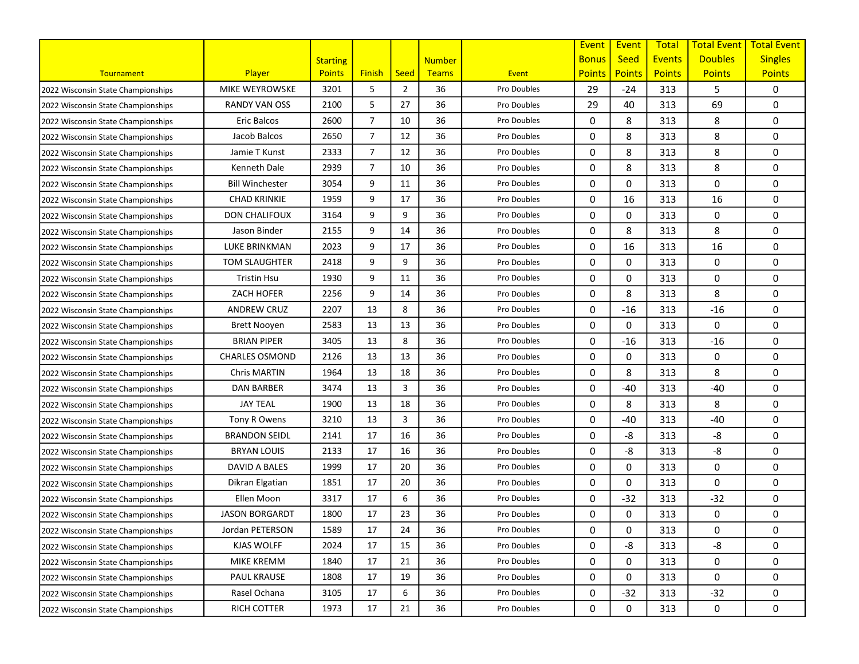|                                    |                        |                 |                |                |               |             | Event         | Event         | <b>Total</b>  | <b>Total Event</b> | <b>Total Event</b> |
|------------------------------------|------------------------|-----------------|----------------|----------------|---------------|-------------|---------------|---------------|---------------|--------------------|--------------------|
|                                    |                        | <b>Starting</b> |                |                | <b>Number</b> |             | <b>Bonus</b>  | <b>Seed</b>   | <b>Events</b> | <b>Doubles</b>     | <b>Singles</b>     |
| Tournament                         | Player                 | <b>Points</b>   | <b>Finish</b>  | <b>Seed</b>    | Teams         | Event       | <b>Points</b> | <b>Points</b> | <b>Points</b> | <b>Points</b>      | <b>Points</b>      |
| 2022 Wisconsin State Championships | <b>MIKE WEYROWSKE</b>  | 3201            | 5              | $\overline{2}$ | 36            | Pro Doubles | 29            | $-24$         | 313           | 5                  | 0                  |
| 2022 Wisconsin State Championships | <b>RANDY VAN OSS</b>   | 2100            | 5              | 27             | 36            | Pro Doubles | 29            | 40            | 313           | 69                 | 0                  |
| 2022 Wisconsin State Championships | <b>Eric Balcos</b>     | 2600            | $\overline{7}$ | 10             | 36            | Pro Doubles | 0             | 8             | 313           | 8                  | 0                  |
| 2022 Wisconsin State Championships | Jacob Balcos           | 2650            | $\overline{7}$ | 12             | 36            | Pro Doubles | 0             | 8             | 313           | 8                  | 0                  |
| 2022 Wisconsin State Championships | Jamie T Kunst          | 2333            | $\overline{7}$ | 12             | 36            | Pro Doubles | 0             | 8             | 313           | 8                  | 0                  |
| 2022 Wisconsin State Championships | Kenneth Dale           | 2939            | $\overline{7}$ | 10             | 36            | Pro Doubles | 0             | 8             | 313           | 8                  | 0                  |
| 2022 Wisconsin State Championships | <b>Bill Winchester</b> | 3054            | 9              | 11             | 36            | Pro Doubles | 0             | 0             | 313           | 0                  | 0                  |
| 2022 Wisconsin State Championships | <b>CHAD KRINKIE</b>    | 1959            | 9              | 17             | 36            | Pro Doubles | 0             | 16            | 313           | 16                 | 0                  |
| 2022 Wisconsin State Championships | <b>DON CHALIFOUX</b>   | 3164            | 9              | 9              | 36            | Pro Doubles | 0             | 0             | 313           | 0                  | 0                  |
| 2022 Wisconsin State Championships | Jason Binder           | 2155            | 9              | 14             | 36            | Pro Doubles | 0             | 8             | 313           | 8                  | 0                  |
| 2022 Wisconsin State Championships | LUKE BRINKMAN          | 2023            | 9              | 17             | 36            | Pro Doubles | 0             | 16            | 313           | 16                 | 0                  |
| 2022 Wisconsin State Championships | <b>TOM SLAUGHTER</b>   | 2418            | 9              | 9              | 36            | Pro Doubles | 0             | 0             | 313           | 0                  | 0                  |
| 2022 Wisconsin State Championships | Tristin Hsu            | 1930            | 9              | 11             | 36            | Pro Doubles | 0             | 0             | 313           | 0                  | $\mathbf{0}$       |
| 2022 Wisconsin State Championships | ZACH HOFER             | 2256            | 9              | 14             | 36            | Pro Doubles | 0             | 8             | 313           | 8                  | 0                  |
| 2022 Wisconsin State Championships | <b>ANDREW CRUZ</b>     | 2207            | 13             | 8              | 36            | Pro Doubles | 0             | $-16$         | 313           | $-16$              | 0                  |
| 2022 Wisconsin State Championships | <b>Brett Nooyen</b>    | 2583            | 13             | 13             | 36            | Pro Doubles | 0             | 0             | 313           | 0                  | 0                  |
| 2022 Wisconsin State Championships | <b>BRIAN PIPER</b>     | 3405            | 13             | 8              | 36            | Pro Doubles | 0             | $-16$         | 313           | $-16$              | 0                  |
| 2022 Wisconsin State Championships | <b>CHARLES OSMOND</b>  | 2126            | 13             | 13             | 36            | Pro Doubles | 0             | 0             | 313           | 0                  | 0                  |
| 2022 Wisconsin State Championships | Chris MARTIN           | 1964            | 13             | 18             | 36            | Pro Doubles | 0             | 8             | 313           | 8                  | 0                  |
| 2022 Wisconsin State Championships | <b>DAN BARBER</b>      | 3474            | 13             | 3              | 36            | Pro Doubles | 0             | $-40$         | 313           | -40                | 0                  |
| 2022 Wisconsin State Championships | <b>JAY TEAL</b>        | 1900            | 13             | 18             | 36            | Pro Doubles | 0             | 8             | 313           | 8                  | 0                  |
| 2022 Wisconsin State Championships | Tony R Owens           | 3210            | 13             | 3              | 36            | Pro Doubles | 0             | $-40$         | 313           | $-40$              | 0                  |
| 2022 Wisconsin State Championships | <b>BRANDON SEIDL</b>   | 2141            | 17             | 16             | 36            | Pro Doubles | 0             | -8            | 313           | -8                 | 0                  |
| 2022 Wisconsin State Championships | <b>BRYAN LOUIS</b>     | 2133            | 17             | 16             | 36            | Pro Doubles | 0             | -8            | 313           | -8                 | 0                  |
| 2022 Wisconsin State Championships | DAVID A BALES          | 1999            | 17             | 20             | 36            | Pro Doubles | 0             | 0             | 313           | 0                  | 0                  |
| 2022 Wisconsin State Championships | Dikran Elgatian        | 1851            | 17             | 20             | 36            | Pro Doubles | 0             | 0             | 313           | 0                  | 0                  |
| 2022 Wisconsin State Championships | Ellen Moon             | 3317            | 17             | 6              | 36            | Pro Doubles | 0             | $-32$         | 313           | $-32$              | 0                  |
| 2022 Wisconsin State Championships | <b>JASON BORGARDT</b>  | 1800            | 17             | 23             | 36            | Pro Doubles | 0             | 0             | 313           | 0                  | 0                  |
| 2022 Wisconsin State Championships | Jordan PETERSON        | 1589            | 17             | 24             | 36            | Pro Doubles | 0             | 0             | 313           | 0                  | 0                  |
| 2022 Wisconsin State Championships | KJAS WOLFF             | 2024            | 17             | 15             | 36            | Pro Doubles | 0             | -8            | 313           | -8                 | 0                  |
| 2022 Wisconsin State Championships | MIKE KREMM             | 1840            | 17             | 21             | 36            | Pro Doubles | 0             | 0             | 313           | 0                  | 0                  |
| 2022 Wisconsin State Championships | <b>PAUL KRAUSE</b>     | 1808            | 17             | 19             | 36            | Pro Doubles | 0             | 0             | 313           | 0                  | 0                  |
| 2022 Wisconsin State Championships | Rasel Ochana           | 3105            | 17             | 6              | 36            | Pro Doubles | 0             | $-32$         | 313           | $-32$              | 0                  |
| 2022 Wisconsin State Championships | RICH COTTER            | 1973            | 17             | 21             | 36            | Pro Doubles | 0             | 0             | 313           | 0                  | 0                  |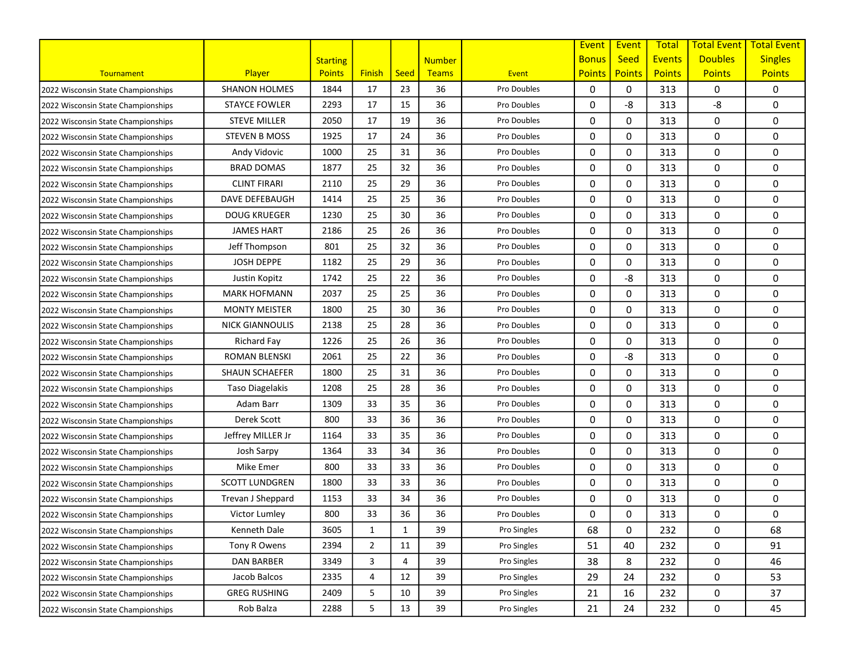|                                    |                        |                 |                |              |               |             | Event         | Event         | <b>Total</b>  | <b>Total Event</b> | <b>Total Event</b> |
|------------------------------------|------------------------|-----------------|----------------|--------------|---------------|-------------|---------------|---------------|---------------|--------------------|--------------------|
|                                    |                        | <b>Starting</b> |                |              | <b>Number</b> |             | <b>Bonus</b>  | <b>Seed</b>   | <b>Events</b> | <b>Doubles</b>     | <b>Singles</b>     |
| Tournament                         | Player                 | <b>Points</b>   | <b>Finish</b>  | <b>Seed</b>  | Teams         | Event       | <b>Points</b> | <b>Points</b> | <b>Points</b> | <b>Points</b>      | <b>Points</b>      |
| 2022 Wisconsin State Championships | <b>SHANON HOLMES</b>   | 1844            | 17             | 23           | 36            | Pro Doubles | 0             | 0             | 313           | 0                  | 0                  |
| 2022 Wisconsin State Championships | <b>STAYCE FOWLER</b>   | 2293            | 17             | 15           | 36            | Pro Doubles | 0             | -8            | 313           | -8                 | 0                  |
| 2022 Wisconsin State Championships | <b>STEVE MILLER</b>    | 2050            | 17             | 19           | 36            | Pro Doubles | 0             | 0             | 313           | 0                  | 0                  |
| 2022 Wisconsin State Championships | <b>STEVEN B MOSS</b>   | 1925            | 17             | 24           | 36            | Pro Doubles | 0             | 0             | 313           | 0                  | 0                  |
| 2022 Wisconsin State Championships | Andy Vidovic           | 1000            | 25             | 31           | 36            | Pro Doubles | 0             | 0             | 313           | 0                  | 0                  |
| 2022 Wisconsin State Championships | <b>BRAD DOMAS</b>      | 1877            | 25             | 32           | 36            | Pro Doubles | 0             | 0             | 313           | 0                  | 0                  |
| 2022 Wisconsin State Championships | <b>CLINT FIRARI</b>    | 2110            | 25             | 29           | 36            | Pro Doubles | 0             | 0             | 313           | 0                  | 0                  |
| 2022 Wisconsin State Championships | DAVE DEFEBAUGH         | 1414            | 25             | 25           | 36            | Pro Doubles | 0             | $\Omega$      | 313           | 0                  | 0                  |
| 2022 Wisconsin State Championships | <b>DOUG KRUEGER</b>    | 1230            | 25             | 30           | 36            | Pro Doubles | 0             | 0             | 313           | 0                  | 0                  |
| 2022 Wisconsin State Championships | <b>JAMES HART</b>      | 2186            | 25             | 26           | 36            | Pro Doubles | 0             | 0             | 313           | 0                  | 0                  |
| 2022 Wisconsin State Championships | Jeff Thompson          | 801             | 25             | 32           | 36            | Pro Doubles | 0             | 0             | 313           | 0                  | 0                  |
| 2022 Wisconsin State Championships | <b>JOSH DEPPE</b>      | 1182            | 25             | 29           | 36            | Pro Doubles | 0             | 0             | 313           | 0                  | 0                  |
| 2022 Wisconsin State Championships | Justin Kopitz          | 1742            | 25             | 22           | 36            | Pro Doubles | 0             | -8            | 313           | 0                  | $\mathbf{0}$       |
| 2022 Wisconsin State Championships | <b>MARK HOFMANN</b>    | 2037            | 25             | 25           | 36            | Pro Doubles | 0             | 0             | 313           | 0                  | 0                  |
| 2022 Wisconsin State Championships | <b>MONTY MEISTER</b>   | 1800            | 25             | 30           | 36            | Pro Doubles | 0             | 0             | 313           | 0                  | 0                  |
| 2022 Wisconsin State Championships | <b>NICK GIANNOULIS</b> | 2138            | 25             | 28           | 36            | Pro Doubles | 0             | 0             | 313           | 0                  | 0                  |
| 2022 Wisconsin State Championships | Richard Fay            | 1226            | 25             | 26           | 36            | Pro Doubles | 0             | 0             | 313           | 0                  | 0                  |
| 2022 Wisconsin State Championships | ROMAN BLENSKI          | 2061            | 25             | 22           | 36            | Pro Doubles | 0             | -8            | 313           | 0                  | 0                  |
| 2022 Wisconsin State Championships | SHAUN SCHAEFER         | 1800            | 25             | 31           | 36            | Pro Doubles | 0             | 0             | 313           | 0                  | 0                  |
| 2022 Wisconsin State Championships | Taso Diagelakis        | 1208            | 25             | 28           | 36            | Pro Doubles | 0             | $\Omega$      | 313           | 0                  | 0                  |
| 2022 Wisconsin State Championships | Adam Barr              | 1309            | 33             | 35           | 36            | Pro Doubles | 0             | 0             | 313           | 0                  | 0                  |
| 2022 Wisconsin State Championships | Derek Scott            | 800             | 33             | 36           | 36            | Pro Doubles | 0             | 0             | 313           | 0                  | 0                  |
| 2022 Wisconsin State Championships | Jeffrey MILLER Jr      | 1164            | 33             | 35           | 36            | Pro Doubles | 0             | 0             | 313           | 0                  | 0                  |
| 2022 Wisconsin State Championships | Josh Sarpy             | 1364            | 33             | 34           | 36            | Pro Doubles | 0             | 0             | 313           | 0                  | 0                  |
| 2022 Wisconsin State Championships | Mike Emer              | 800             | 33             | 33           | 36            | Pro Doubles | 0             | 0             | 313           | 0                  | 0                  |
| 2022 Wisconsin State Championships | <b>SCOTT LUNDGREN</b>  | 1800            | 33             | 33           | 36            | Pro Doubles | 0             | $\mathbf 0$   | 313           | 0                  | 0                  |
| 2022 Wisconsin State Championships | Trevan J Sheppard      | 1153            | 33             | 34           | 36            | Pro Doubles | 0             | $\Omega$      | 313           | 0                  | 0                  |
| 2022 Wisconsin State Championships | Victor Lumley          | 800             | 33             | 36           | 36            | Pro Doubles | 0             | 0             | 313           | 0                  | 0                  |
| 2022 Wisconsin State Championships | Kenneth Dale           | 3605            | 1              | $\mathbf{1}$ | 39            | Pro Singles | 68            | 0             | 232           | 0                  | 68                 |
| 2022 Wisconsin State Championships | Tony R Owens           | 2394            | $\overline{2}$ | 11           | 39            | Pro Singles | 51            | 40            | 232           | 0                  | 91                 |
| 2022 Wisconsin State Championships | DAN BARBER             | 3349            | 3              | 4            | 39            | Pro Singles | 38            | 8             | 232           | 0                  | 46                 |
| 2022 Wisconsin State Championships | Jacob Balcos           | 2335            | 4              | 12           | 39            | Pro Singles | 29            | 24            | 232           | 0                  | 53                 |
| 2022 Wisconsin State Championships | <b>GREG RUSHING</b>    | 2409            | 5              | 10           | 39            | Pro Singles | 21            | 16            | 232           | 0                  | 37                 |
| 2022 Wisconsin State Championships | Rob Balza              | 2288            | 5              | 13           | 39            | Pro Singles | 21            | 24            | 232           | 0                  | 45                 |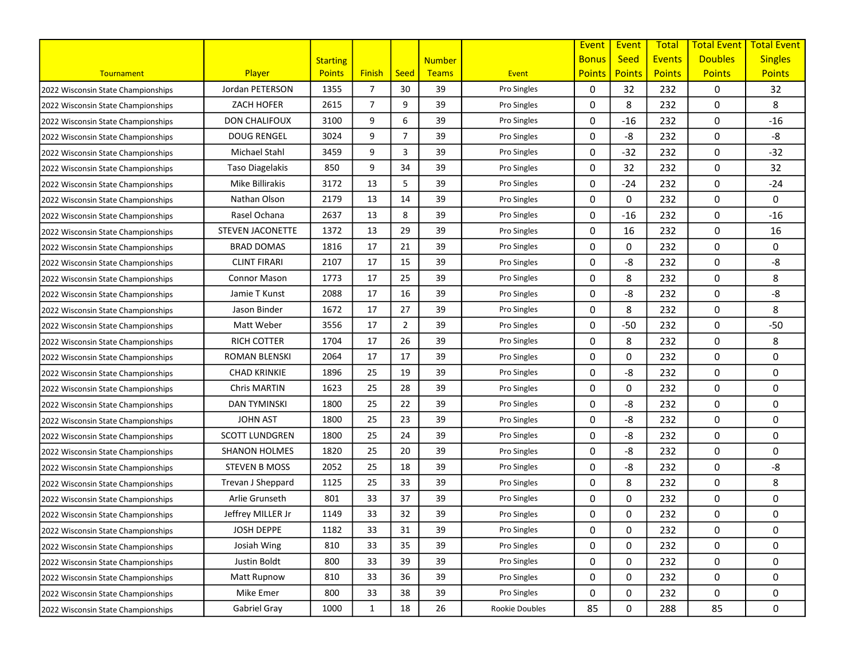|                                    |                         |                 |                |                |               |                | Event         | Event         | <b>Total</b>  | <b>Total Event</b> | <b>Total Event</b> |
|------------------------------------|-------------------------|-----------------|----------------|----------------|---------------|----------------|---------------|---------------|---------------|--------------------|--------------------|
|                                    |                         | <b>Starting</b> |                |                | <b>Number</b> |                | <b>Bonus</b>  | <b>Seed</b>   | <b>Events</b> | <b>Doubles</b>     | <b>Singles</b>     |
| Tournament                         | <b>Player</b>           | <b>Points</b>   | <b>Finish</b>  | <b>Seed</b>    | Teams         | Event          | <b>Points</b> | <b>Points</b> | <b>Points</b> | <b>Points</b>      | <b>Points</b>      |
| 2022 Wisconsin State Championships | Jordan PETERSON         | 1355            | $\overline{7}$ | 30             | 39            | Pro Singles    | 0             | 32            | 232           | 0                  | 32                 |
| 2022 Wisconsin State Championships | <b>ZACH HOFER</b>       | 2615            | $\overline{7}$ | 9              | 39            | Pro Singles    | 0             | 8             | 232           | 0                  | 8                  |
| 2022 Wisconsin State Championships | <b>DON CHALIFOUX</b>    | 3100            | 9              | 6              | 39            | Pro Singles    | 0             | $-16$         | 232           | 0                  | $-16$              |
| 2022 Wisconsin State Championships | <b>DOUG RENGEL</b>      | 3024            | 9              | $\overline{7}$ | 39            | Pro Singles    | 0             | -8            | 232           | 0                  | -8                 |
| 2022 Wisconsin State Championships | Michael Stahl           | 3459            | 9              | 3              | 39            | Pro Singles    | 0             | $-32$         | 232           | 0                  | $-32$              |
| 2022 Wisconsin State Championships | Taso Diagelakis         | 850             | 9              | 34             | 39            | Pro Singles    | 0             | 32            | 232           | 0                  | 32                 |
| 2022 Wisconsin State Championships | Mike Billirakis         | 3172            | 13             | 5              | 39            | Pro Singles    | 0             | $-24$         | 232           | 0                  | $-24$              |
| 2022 Wisconsin State Championships | Nathan Olson            | 2179            | 13             | 14             | 39            | Pro Singles    | 0             | 0             | 232           | 0                  | 0                  |
| 2022 Wisconsin State Championships | Rasel Ochana            | 2637            | 13             | 8              | 39            | Pro Singles    | 0             | $-16$         | 232           | 0                  | $-16$              |
| 2022 Wisconsin State Championships | <b>STEVEN JACONETTE</b> | 1372            | 13             | 29             | 39            | Pro Singles    | 0             | 16            | 232           | 0                  | 16                 |
| 2022 Wisconsin State Championships | <b>BRAD DOMAS</b>       | 1816            | 17             | 21             | 39            | Pro Singles    | 0             | 0             | 232           | 0                  | 0                  |
| 2022 Wisconsin State Championships | <b>CLINT FIRARI</b>     | 2107            | 17             | 15             | 39            | Pro Singles    | 0             | -8            | 232           | 0                  | -8                 |
| 2022 Wisconsin State Championships | <b>Connor Mason</b>     | 1773            | 17             | 25             | 39            | Pro Singles    | 0             | 8             | 232           | 0                  | 8                  |
| 2022 Wisconsin State Championships | Jamie T Kunst           | 2088            | 17             | 16             | 39            | Pro Singles    | 0             | -8            | 232           | 0                  | -8                 |
| 2022 Wisconsin State Championships | Jason Binder            | 1672            | 17             | 27             | 39            | Pro Singles    | 0             | 8             | 232           | 0                  | 8                  |
| 2022 Wisconsin State Championships | Matt Weber              | 3556            | 17             | $\overline{2}$ | 39            | Pro Singles    | 0             | $-50$         | 232           | 0                  | $-50$              |
| 2022 Wisconsin State Championships | <b>RICH COTTER</b>      | 1704            | 17             | 26             | 39            | Pro Singles    | 0             | 8             | 232           | 0                  | 8                  |
| 2022 Wisconsin State Championships | ROMAN BLENSKI           | 2064            | 17             | 17             | 39            | Pro Singles    | 0             | 0             | 232           | 0                  | 0                  |
| 2022 Wisconsin State Championships | <b>CHAD KRINKIE</b>     | 1896            | 25             | 19             | 39            | Pro Singles    | 0             | -8            | 232           | 0                  | 0                  |
| 2022 Wisconsin State Championships | Chris MARTIN            | 1623            | 25             | 28             | 39            | Pro Singles    | 0             | $\Omega$      | 232           | 0                  | 0                  |
| 2022 Wisconsin State Championships | <b>DAN TYMINSKI</b>     | 1800            | 25             | 22             | 39            | Pro Singles    | 0             | -8            | 232           | 0                  | 0                  |
| 2022 Wisconsin State Championships | <b>JOHN AST</b>         | 1800            | 25             | 23             | 39            | Pro Singles    | 0             | -8            | 232           | 0                  | 0                  |
| 2022 Wisconsin State Championships | <b>SCOTT LUNDGREN</b>   | 1800            | 25             | 24             | 39            | Pro Singles    | 0             | -8            | 232           | 0                  | 0                  |
| 2022 Wisconsin State Championships | <b>SHANON HOLMES</b>    | 1820            | 25             | 20             | 39            | Pro Singles    | 0             | -8            | 232           | 0                  | 0                  |
| 2022 Wisconsin State Championships | <b>STEVEN B MOSS</b>    | 2052            | 25             | 18             | 39            | Pro Singles    | 0             | -8            | 232           | 0                  | -8                 |
| 2022 Wisconsin State Championships | Trevan J Sheppard       | 1125            | 25             | 33             | 39            | Pro Singles    | 0             | 8             | 232           | 0                  | 8                  |
| 2022 Wisconsin State Championships | Arlie Grunseth          | 801             | 33             | 37             | 39            | Pro Singles    | 0             | 0             | 232           | 0                  | 0                  |
| 2022 Wisconsin State Championships | Jeffrey MILLER Jr       | 1149            | 33             | 32             | 39            | Pro Singles    | 0             | 0             | 232           | 0                  | 0                  |
| 2022 Wisconsin State Championships | JOSH DEPPE              | 1182            | 33             | 31             | 39            | Pro Singles    | 0             | 0             | 232           | 0                  | 0                  |
| 2022 Wisconsin State Championships | Josiah Wing             | 810             | 33             | 35             | 39            | Pro Singles    | 0             | 0             | 232           | 0                  | 0                  |
| 2022 Wisconsin State Championships | Justin Boldt            | 800             | 33             | 39             | 39            | Pro Singles    | 0             | 0             | 232           | 0                  | 0                  |
| 2022 Wisconsin State Championships | Matt Rupnow             | 810             | 33             | 36             | 39            | Pro Singles    | 0             | 0             | 232           | 0                  | 0                  |
| 2022 Wisconsin State Championships | Mike Emer               | 800             | 33             | 38             | 39            | Pro Singles    | 0             | 0             | 232           | 0                  | 0                  |
| 2022 Wisconsin State Championships | Gabriel Gray            | 1000            | $\mathbf{1}$   | 18             | 26            | Rookie Doubles | 85            | 0             | 288           | 85                 | 0                  |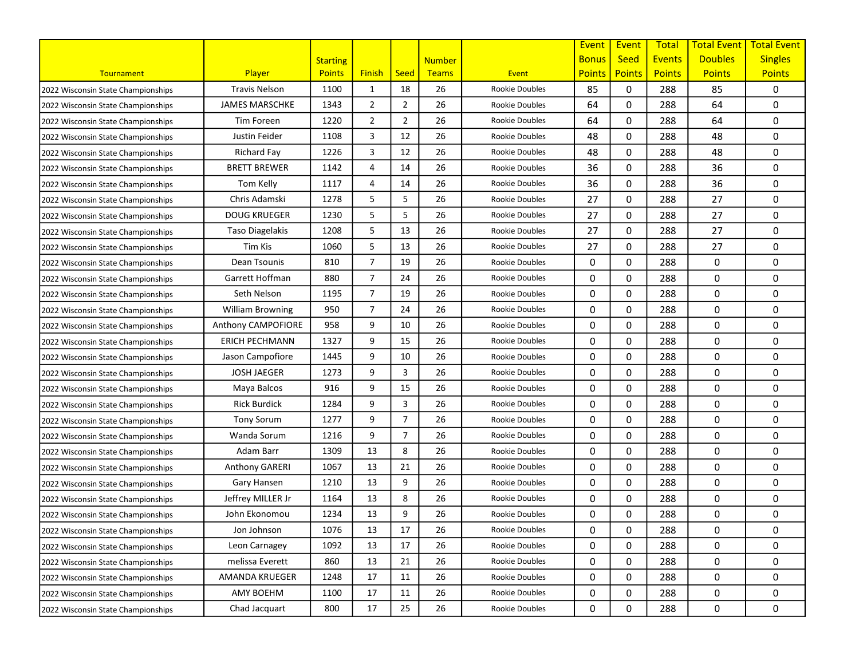|                                    |                         |                 |                |                |               |                       | Event         | Event         | <b>Total</b>  | <b>Total Event</b> | <b>Total Event</b> |
|------------------------------------|-------------------------|-----------------|----------------|----------------|---------------|-----------------------|---------------|---------------|---------------|--------------------|--------------------|
|                                    |                         | <b>Starting</b> |                |                | <b>Number</b> |                       | <b>Bonus</b>  | <b>Seed</b>   | <b>Events</b> | <b>Doubles</b>     | <b>Singles</b>     |
| Tournament                         | Player                  | <b>Points</b>   | <b>Finish</b>  | <b>Seed</b>    | Teams         | Event                 | <b>Points</b> | <b>Points</b> | <b>Points</b> | <b>Points</b>      | <b>Points</b>      |
| 2022 Wisconsin State Championships | <b>Travis Nelson</b>    | 1100            | 1              | 18             | 26            | <b>Rookie Doubles</b> | 85            | 0             | 288           | 85                 | 0                  |
| 2022 Wisconsin State Championships | <b>JAMES MARSCHKE</b>   | 1343            | $\overline{2}$ | 2              | 26            | <b>Rookie Doubles</b> | 64            | 0             | 288           | 64                 | 0                  |
| 2022 Wisconsin State Championships | Tim Foreen              | 1220            | $\overline{2}$ | $\overline{2}$ | 26            | <b>Rookie Doubles</b> | 64            | 0             | 288           | 64                 | 0                  |
| 2022 Wisconsin State Championships | Justin Feider           | 1108            | 3              | 12             | 26            | <b>Rookie Doubles</b> | 48            | 0             | 288           | 48                 | 0                  |
| 2022 Wisconsin State Championships | Richard Fay             | 1226            | 3              | 12             | 26            | <b>Rookie Doubles</b> | 48            | 0             | 288           | 48                 | 0                  |
| 2022 Wisconsin State Championships | <b>BRETT BREWER</b>     | 1142            | $\overline{a}$ | 14             | 26            | <b>Rookie Doubles</b> | 36            | 0             | 288           | 36                 | 0                  |
| 2022 Wisconsin State Championships | Tom Kelly               | 1117            | 4              | 14             | 26            | <b>Rookie Doubles</b> | 36            | 0             | 288           | 36                 | 0                  |
| 2022 Wisconsin State Championships | Chris Adamski           | 1278            | 5              | 5              | 26            | <b>Rookie Doubles</b> | 27            | $\Omega$      | 288           | 27                 | 0                  |
| 2022 Wisconsin State Championships | <b>DOUG KRUEGER</b>     | 1230            | 5              | 5              | 26            | <b>Rookie Doubles</b> | 27            | 0             | 288           | 27                 | 0                  |
| 2022 Wisconsin State Championships | Taso Diagelakis         | 1208            | 5              | 13             | 26            | <b>Rookie Doubles</b> | 27            | 0             | 288           | 27                 | 0                  |
| 2022 Wisconsin State Championships | Tim Kis                 | 1060            | 5              | 13             | 26            | Rookie Doubles        | 27            | 0             | 288           | 27                 | 0                  |
| 2022 Wisconsin State Championships | Dean Tsounis            | 810             | $\overline{7}$ | 19             | 26            | <b>Rookie Doubles</b> | 0             | 0             | 288           | 0                  | 0                  |
| 2022 Wisconsin State Championships | Garrett Hoffman         | 880             | $\overline{7}$ | 24             | 26            | <b>Rookie Doubles</b> | 0             | 0             | 288           | 0                  | 0                  |
| 2022 Wisconsin State Championships | Seth Nelson             | 1195            | $\overline{7}$ | 19             | 26            | <b>Rookie Doubles</b> | 0             | $\mathbf 0$   | 288           | 0                  | 0                  |
| 2022 Wisconsin State Championships | <b>William Browning</b> | 950             | $\overline{7}$ | 24             | 26            | <b>Rookie Doubles</b> | 0             | 0             | 288           | 0                  | 0                  |
| 2022 Wisconsin State Championships | Anthony CAMPOFIORE      | 958             | 9              | 10             | 26            | <b>Rookie Doubles</b> | 0             | 0             | 288           | 0                  | 0                  |
| 2022 Wisconsin State Championships | <b>ERICH PECHMANN</b>   | 1327            | 9              | 15             | 26            | <b>Rookie Doubles</b> | 0             | 0             | 288           | 0                  | 0                  |
| 2022 Wisconsin State Championships | Jason Campofiore        | 1445            | 9              | 10             | 26            | <b>Rookie Doubles</b> | 0             | 0             | 288           | 0                  | 0                  |
| 2022 Wisconsin State Championships | <b>JOSH JAEGER</b>      | 1273            | 9              | 3              | 26            | <b>Rookie Doubles</b> | 0             | 0             | 288           | 0                  | 0                  |
| 2022 Wisconsin State Championships | Maya Balcos             | 916             | 9              | 15             | 26            | <b>Rookie Doubles</b> | 0             | $\mathbf 0$   | 288           | 0                  | 0                  |
| 2022 Wisconsin State Championships | <b>Rick Burdick</b>     | 1284            | 9              | 3              | 26            | <b>Rookie Doubles</b> | 0             | $\mathbf 0$   | 288           | 0                  | 0                  |
| 2022 Wisconsin State Championships | <b>Tony Sorum</b>       | 1277            | 9              | $\overline{7}$ | 26            | <b>Rookie Doubles</b> | 0             | 0             | 288           | 0                  | 0                  |
| 2022 Wisconsin State Championships | Wanda Sorum             | 1216            | 9              | $\overline{7}$ | 26            | <b>Rookie Doubles</b> | 0             | 0             | 288           | 0                  | 0                  |
| 2022 Wisconsin State Championships | Adam Barr               | 1309            | 13             | 8              | 26            | <b>Rookie Doubles</b> | 0             | 0             | 288           | 0                  | 0                  |
| 2022 Wisconsin State Championships | Anthony GARERI          | 1067            | 13             | 21             | 26            | <b>Rookie Doubles</b> | 0             | 0             | 288           | 0                  | 0                  |
| 2022 Wisconsin State Championships | Gary Hansen             | 1210            | 13             | 9              | 26            | <b>Rookie Doubles</b> | 0             | $\mathbf 0$   | 288           | 0                  | 0                  |
| 2022 Wisconsin State Championships | Jeffrey MILLER Jr       | 1164            | 13             | 8              | 26            | <b>Rookie Doubles</b> | 0             | $\Omega$      | 288           | 0                  | 0                  |
| 2022 Wisconsin State Championships | John Ekonomou           | 1234            | 13             | 9              | 26            | <b>Rookie Doubles</b> | 0             | 0             | 288           | 0                  | 0                  |
| 2022 Wisconsin State Championships | Jon Johnson             | 1076            | 13             | 17             | 26            | Rookie Doubles        | 0             | 0             | 288           | 0                  | 0                  |
| 2022 Wisconsin State Championships | Leon Carnagey           | 1092            | 13             | 17             | 26            | Rookie Doubles        | 0             | 0             | 288           | 0                  | 0                  |
| 2022 Wisconsin State Championships | melissa Everett         | 860             | 13             | 21             | 26            | Rookie Doubles        | 0             | 0             | 288           | 0                  | 0                  |
| 2022 Wisconsin State Championships | AMANDA KRUEGER          | 1248            | 17             | 11             | 26            | Rookie Doubles        | 0             | 0             | 288           | 0                  | 0                  |
| 2022 Wisconsin State Championships | AMY BOEHM               | 1100            | 17             | 11             | 26            | Rookie Doubles        | 0             | 0             | 288           | $\mathbf 0$        | 0                  |
| 2022 Wisconsin State Championships | Chad Jacquart           | 800             | 17             | 25             | 26            | Rookie Doubles        | 0             | 0             | 288           | 0                  | 0                  |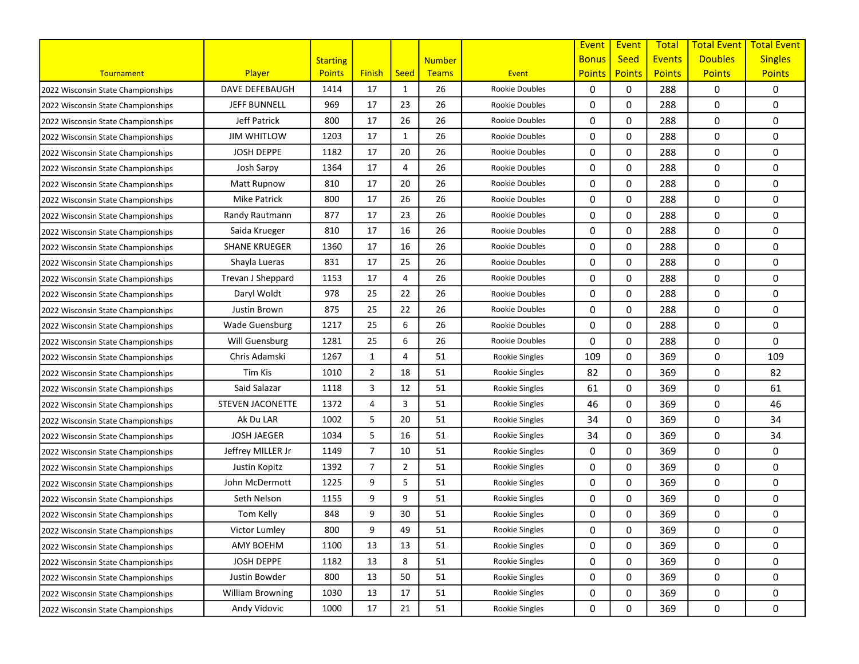|                                    |                         |                 |                |                |               |                       | Event         | Event         | <b>Total</b>  | <b>Total Event</b> | <b>Total Event</b> |
|------------------------------------|-------------------------|-----------------|----------------|----------------|---------------|-----------------------|---------------|---------------|---------------|--------------------|--------------------|
|                                    |                         | <b>Starting</b> |                |                | <b>Number</b> |                       | <b>Bonus</b>  | <b>Seed</b>   | <b>Events</b> | <b>Doubles</b>     | <b>Singles</b>     |
| Tournament                         | Player                  | <b>Points</b>   | <b>Finish</b>  | <b>Seed</b>    | Teams         | Event                 | <b>Points</b> | <b>Points</b> | <b>Points</b> | <b>Points</b>      | <b>Points</b>      |
| 2022 Wisconsin State Championships | DAVE DEFEBAUGH          | 1414            | 17             | $\mathbf{1}$   | 26            | <b>Rookie Doubles</b> | 0             | 0             | 288           | 0                  | 0                  |
| 2022 Wisconsin State Championships | <b>JEFF BUNNELL</b>     | 969             | 17             | 23             | 26            | <b>Rookie Doubles</b> | 0             | $\mathbf 0$   | 288           | 0                  | 0                  |
| 2022 Wisconsin State Championships | Jeff Patrick            | 800             | 17             | 26             | 26            | <b>Rookie Doubles</b> | 0             | 0             | 288           | 0                  | 0                  |
| 2022 Wisconsin State Championships | <b>JIM WHITLOW</b>      | 1203            | 17             | $\mathbf{1}$   | 26            | <b>Rookie Doubles</b> | 0             | 0             | 288           | 0                  | 0                  |
| 2022 Wisconsin State Championships | <b>JOSH DEPPE</b>       | 1182            | 17             | 20             | 26            | <b>Rookie Doubles</b> | 0             | 0             | 288           | 0                  | 0                  |
| 2022 Wisconsin State Championships | Josh Sarpy              | 1364            | 17             | 4              | 26            | <b>Rookie Doubles</b> | 0             | 0             | 288           | 0                  | 0                  |
| 2022 Wisconsin State Championships | Matt Rupnow             | 810             | 17             | 20             | 26            | <b>Rookie Doubles</b> | 0             | $\mathbf 0$   | 288           | 0                  | 0                  |
| 2022 Wisconsin State Championships | Mike Patrick            | 800             | 17             | 26             | 26            | <b>Rookie Doubles</b> | 0             | $\Omega$      | 288           | 0                  | 0                  |
| 2022 Wisconsin State Championships | Randy Rautmann          | 877             | 17             | 23             | 26            | <b>Rookie Doubles</b> | 0             | 0             | 288           | 0                  | 0                  |
| 2022 Wisconsin State Championships | Saida Krueger           | 810             | 17             | 16             | 26            | <b>Rookie Doubles</b> | 0             | 0             | 288           | 0                  | 0                  |
| 2022 Wisconsin State Championships | <b>SHANE KRUEGER</b>    | 1360            | 17             | 16             | 26            | <b>Rookie Doubles</b> | 0             | 0             | 288           | 0                  | 0                  |
| 2022 Wisconsin State Championships | Shayla Lueras           | 831             | 17             | 25             | 26            | <b>Rookie Doubles</b> | 0             | 0             | 288           | 0                  | 0                  |
| 2022 Wisconsin State Championships | Trevan J Sheppard       | 1153            | 17             | 4              | 26            | <b>Rookie Doubles</b> | 0             | 0             | 288           | 0                  | 0                  |
| 2022 Wisconsin State Championships | Daryl Woldt             | 978             | 25             | 22             | 26            | <b>Rookie Doubles</b> | 0             | $\mathbf 0$   | 288           | 0                  | 0                  |
| 2022 Wisconsin State Championships | Justin Brown            | 875             | 25             | 22             | 26            | <b>Rookie Doubles</b> | 0             | 0             | 288           | 0                  | 0                  |
| 2022 Wisconsin State Championships | <b>Wade Guensburg</b>   | 1217            | 25             | 6              | 26            | <b>Rookie Doubles</b> | 0             | 0             | 288           | 0                  | 0                  |
| 2022 Wisconsin State Championships | Will Guensburg          | 1281            | 25             | 6              | 26            | <b>Rookie Doubles</b> | 0             | 0             | 288           | 0                  | 0                  |
| 2022 Wisconsin State Championships | Chris Adamski           | 1267            | $\mathbf{1}$   | 4              | 51            | Rookie Singles        | 109           | 0             | 369           | 0                  | 109                |
| 2022 Wisconsin State Championships | Tim Kis                 | 1010            | $\overline{2}$ | 18             | 51            | Rookie Singles        | 82            | 0             | 369           | 0                  | 82                 |
| 2022 Wisconsin State Championships | Said Salazar            | 1118            | 3              | 12             | 51            | Rookie Singles        | 61            | $\mathbf 0$   | 369           | 0                  | 61                 |
| 2022 Wisconsin State Championships | <b>STEVEN JACONETTE</b> | 1372            | 4              | 3              | 51            | Rookie Singles        | 46            | $\mathbf 0$   | 369           | 0                  | 46                 |
| 2022 Wisconsin State Championships | Ak Du LAR               | 1002            | 5              | 20             | 51            | Rookie Singles        | 34            | 0             | 369           | 0                  | 34                 |
| 2022 Wisconsin State Championships | <b>JOSH JAEGER</b>      | 1034            | 5              | 16             | 51            | Rookie Singles        | 34            | 0             | 369           | 0                  | 34                 |
| 2022 Wisconsin State Championships | Jeffrey MILLER Jr       | 1149            | $\overline{7}$ | 10             | 51            | Rookie Singles        | 0             | 0             | 369           | 0                  | 0                  |
| 2022 Wisconsin State Championships | Justin Kopitz           | 1392            | $\overline{7}$ | $\overline{2}$ | 51            | Rookie Singles        | 0             | $\mathbf 0$   | 369           | 0                  | 0                  |
| 2022 Wisconsin State Championships | John McDermott          | 1225            | 9              | 5              | 51            | Rookie Singles        | 0             | $\mathbf 0$   | 369           | 0                  | 0                  |
| 2022 Wisconsin State Championships | Seth Nelson             | 1155            | 9              | 9              | 51            | Rookie Singles        | 0             | $\Omega$      | 369           | 0                  | 0                  |
| 2022 Wisconsin State Championships | Tom Kelly               | 848             | 9              | 30             | 51            | Rookie Singles        | 0             | 0             | 369           | 0                  | 0                  |
| 2022 Wisconsin State Championships | Victor Lumley           | 800             | 9              | 49             | 51            | Rookie Singles        | 0             | 0             | 369           | 0                  | 0                  |
| 2022 Wisconsin State Championships | <b>AMY BOEHM</b>        | 1100            | 13             | 13             | 51            | Rookie Singles        | 0             | 0             | 369           | 0                  | 0                  |
| 2022 Wisconsin State Championships | JOSH DEPPE              | 1182            | 13             | 8              | 51            | Rookie Singles        | 0             | 0             | 369           | 0                  | 0                  |
| 2022 Wisconsin State Championships | Justin Bowder           | 800             | 13             | 50             | 51            | Rookie Singles        | 0             | 0             | 369           | 0                  | 0                  |
| 2022 Wisconsin State Championships | <b>William Browning</b> | 1030            | 13             | 17             | 51            | Rookie Singles        | 0             | 0             | 369           | 0                  | 0                  |
| 2022 Wisconsin State Championships | Andy Vidovic            | 1000            | 17             | 21             | 51            | Rookie Singles        | 0             | 0             | 369           | 0                  | 0                  |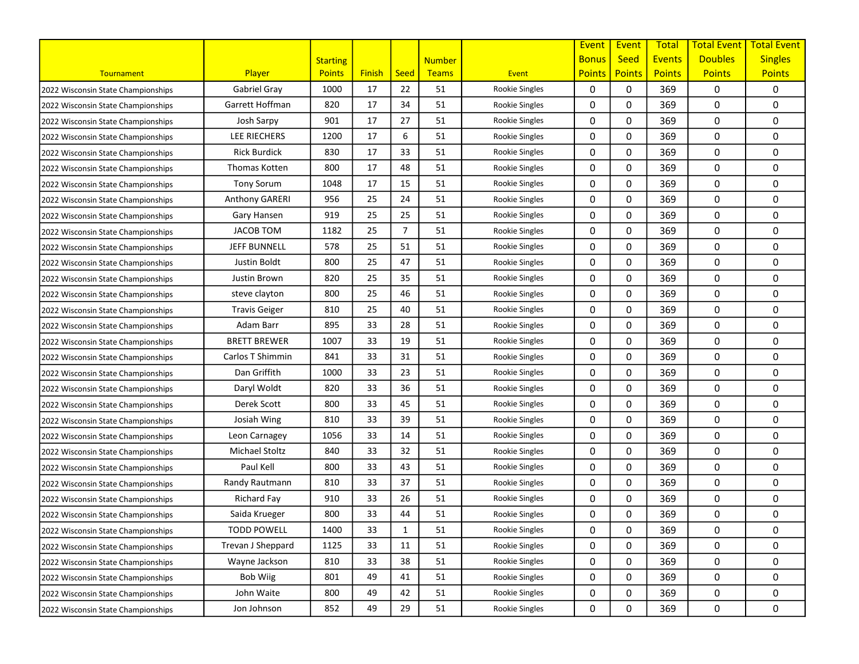|                                    |                      |                 |               |                |               |                       | Event         | Event         | <b>Total</b>  | <b>Total Event</b> | <b>Total Event</b> |
|------------------------------------|----------------------|-----------------|---------------|----------------|---------------|-----------------------|---------------|---------------|---------------|--------------------|--------------------|
|                                    |                      | <b>Starting</b> |               |                | <b>Number</b> |                       | <b>Bonus</b>  | <b>Seed</b>   | <b>Events</b> | <b>Doubles</b>     | <b>Singles</b>     |
| Tournament                         | Player               | <b>Points</b>   | <b>Finish</b> | <b>Seed</b>    | Teams         | Event                 | <b>Points</b> | <b>Points</b> | <b>Points</b> | <b>Points</b>      | <b>Points</b>      |
| 2022 Wisconsin State Championships | Gabriel Gray         | 1000            | 17            | 22             | 51            | Rookie Singles        | 0             | 0             | 369           | 0                  | 0                  |
| 2022 Wisconsin State Championships | Garrett Hoffman      | 820             | 17            | 34             | 51            | <b>Rookie Singles</b> | 0             | $\mathbf 0$   | 369           | 0                  | 0                  |
| 2022 Wisconsin State Championships | Josh Sarpy           | 901             | 17            | 27             | 51            | Rookie Singles        | 0             | 0             | 369           | 0                  | 0                  |
| 2022 Wisconsin State Championships | LEE RIECHERS         | 1200            | 17            | 6              | 51            | Rookie Singles        | 0             | 0             | 369           | 0                  | 0                  |
| 2022 Wisconsin State Championships | <b>Rick Burdick</b>  | 830             | 17            | 33             | 51            | Rookie Singles        | 0             | 0             | 369           | 0                  | 0                  |
| 2022 Wisconsin State Championships | Thomas Kotten        | 800             | 17            | 48             | 51            | Rookie Singles        | 0             | 0             | 369           | 0                  | 0                  |
| 2022 Wisconsin State Championships | <b>Tony Sorum</b>    | 1048            | 17            | 15             | 51            | Rookie Singles        | 0             | $\mathbf 0$   | 369           | 0                  | 0                  |
| 2022 Wisconsin State Championships | Anthony GARERI       | 956             | 25            | 24             | 51            | Rookie Singles        | 0             | $\Omega$      | 369           | 0                  | 0                  |
| 2022 Wisconsin State Championships | Gary Hansen          | 919             | 25            | 25             | 51            | Rookie Singles        | 0             | 0             | 369           | 0                  | 0                  |
| 2022 Wisconsin State Championships | <b>JACOB TOM</b>     | 1182            | 25            | $\overline{7}$ | 51            | Rookie Singles        | 0             | 0             | 369           | 0                  | 0                  |
| 2022 Wisconsin State Championships | <b>JEFF BUNNELL</b>  | 578             | 25            | 51             | 51            | Rookie Singles        | 0             | 0             | 369           | 0                  | 0                  |
| 2022 Wisconsin State Championships | Justin Boldt         | 800             | 25            | 47             | 51            | Rookie Singles        | 0             | 0             | 369           | 0                  | 0                  |
| 2022 Wisconsin State Championships | Justin Brown         | 820             | 25            | 35             | 51            | Rookie Singles        | 0             | 0             | 369           | 0                  | 0                  |
| 2022 Wisconsin State Championships | steve clayton        | 800             | 25            | 46             | 51            | Rookie Singles        | 0             | $\mathbf 0$   | 369           | 0                  | 0                  |
| 2022 Wisconsin State Championships | <b>Travis Geiger</b> | 810             | 25            | 40             | 51            | Rookie Singles        | 0             | 0             | 369           | 0                  | 0                  |
| 2022 Wisconsin State Championships | Adam Barr            | 895             | 33            | 28             | 51            | <b>Rookie Singles</b> | 0             | 0             | 369           | 0                  | 0                  |
| 2022 Wisconsin State Championships | <b>BRETT BREWER</b>  | 1007            | 33            | 19             | 51            | Rookie Singles        | 0             | 0             | 369           | 0                  | 0                  |
| 2022 Wisconsin State Championships | Carlos T Shimmin     | 841             | 33            | 31             | 51            | Rookie Singles        | 0             | 0             | 369           | 0                  | 0                  |
| 2022 Wisconsin State Championships | Dan Griffith         | 1000            | 33            | 23             | 51            | Rookie Singles        | 0             | 0             | 369           | 0                  | 0                  |
| 2022 Wisconsin State Championships | Daryl Woldt          | 820             | 33            | 36             | 51            | Rookie Singles        | 0             | $\mathbf 0$   | 369           | 0                  | 0                  |
| 2022 Wisconsin State Championships | Derek Scott          | 800             | 33            | 45             | 51            | Rookie Singles        | 0             | $\mathbf 0$   | 369           | 0                  | 0                  |
| 2022 Wisconsin State Championships | Josiah Wing          | 810             | 33            | 39             | 51            | Rookie Singles        | 0             | 0             | 369           | 0                  | 0                  |
| 2022 Wisconsin State Championships | Leon Carnagey        | 1056            | 33            | 14             | 51            | Rookie Singles        | 0             | 0             | 369           | 0                  | 0                  |
| 2022 Wisconsin State Championships | Michael Stoltz       | 840             | 33            | 32             | 51            | Rookie Singles        | 0             | 0             | 369           | 0                  | 0                  |
| 2022 Wisconsin State Championships | Paul Kell            | 800             | 33            | 43             | 51            | Rookie Singles        | 0             | $\mathbf 0$   | 369           | 0                  | 0                  |
| 2022 Wisconsin State Championships | Randy Rautmann       | 810             | 33            | 37             | 51            | Rookie Singles        | 0             | $\mathbf 0$   | 369           | 0                  | 0                  |
| 2022 Wisconsin State Championships | Richard Fay          | 910             | 33            | 26             | 51            | Rookie Singles        | 0             | $\Omega$      | 369           | 0                  | 0                  |
| 2022 Wisconsin State Championships | Saida Krueger        | 800             | 33            | 44             | 51            | Rookie Singles        | 0             | 0             | 369           | 0                  | 0                  |
| 2022 Wisconsin State Championships | <b>TODD POWELL</b>   | 1400            | 33            | $\mathbf{1}$   | 51            | Rookie Singles        | 0             | 0             | 369           | 0                  | 0                  |
| 2022 Wisconsin State Championships | Trevan J Sheppard    | 1125            | 33            | 11             | 51            | Rookie Singles        | 0             | 0             | 369           | 0                  | 0                  |
| 2022 Wisconsin State Championships | Wayne Jackson        | 810             | 33            | 38             | 51            | Rookie Singles        | 0             | 0             | 369           | 0                  | 0                  |
| 2022 Wisconsin State Championships | Bob Wiig             | 801             | 49            | 41             | 51            | Rookie Singles        | 0             | 0             | 369           | 0                  | 0                  |
| 2022 Wisconsin State Championships | John Waite           | 800             | 49            | 42             | 51            | Rookie Singles        | 0             | 0             | 369           | 0                  | 0                  |
| 2022 Wisconsin State Championships | Jon Johnson          | 852             | 49            | 29             | 51            | Rookie Singles        | 0             | 0             | 369           | 0                  | 0                  |